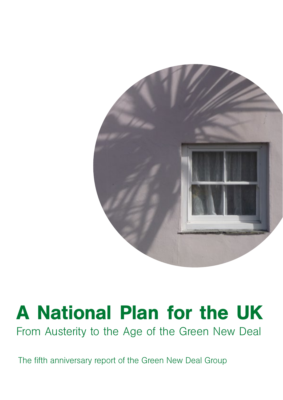

# A National Plan for the UK

From Austerity to the Age of the Green New Deal

The fifth anniversary report of the Green New Deal Group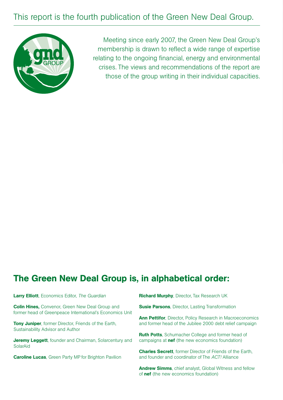## This report is the fourth publication of the Green New Deal Group.



Meeting since early 2007, the Green New Deal Group's membership is drawn to reflect a wide range of expertise relating to the ongoing financial, energy and environmental crises. The views and recommendations of the report are those of the group writing in their individual capacities.

## The Green New Deal Group is, in alphabetical order:

| <b>Larry Elliott</b> , Economics Editor, The Guardian                                                              | <b>Richard Murphy, Director, Tax Research UK</b>                                                       |
|--------------------------------------------------------------------------------------------------------------------|--------------------------------------------------------------------------------------------------------|
| <b>Colin Hines, Convenor, Green New Deal Group and</b><br>former head of Greenpeace International's Economics Unit | <b>Susie Parsons, Director, Lasting Transformation</b>                                                 |
|                                                                                                                    | <b>Ann Pettifor, Director, Policy Research in Macroeconomics</b>                                       |
| <b>Tony Juniper, former Director, Friends of the Earth,</b><br>Sustainability Advisor and Author                   | and former head of the Jubilee 2000 debt relief campaign                                               |
|                                                                                                                    | <b>Ruth Potts</b> , Schumacher College and former head of                                              |
| <b>Jeremy Leggett</b> , founder and Chairman, Solarcentury and<br>SolarAid                                         | campaigns at <b>nef</b> (the new economics foundation)                                                 |
|                                                                                                                    | <b>Charles Secrett</b> , former Director of Friends of the Earth,                                      |
| <b>Caroline Lucas, Green Party MP for Brighton Pavilion</b>                                                        | and founder and coordinator of The ACT! Alliance                                                       |
|                                                                                                                    | <b>Andrew Simms, chief analyst, Global Witness and fellow</b><br>of nef (the new economics foundation) |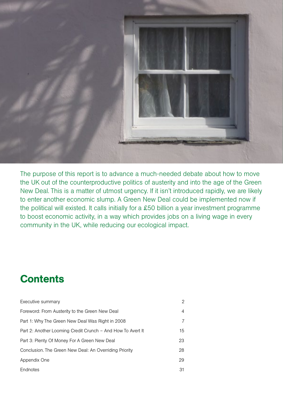

The purpose of this report is to advance a much-needed debate about how to move the UK out of the counterproductive politics of austerity and into the age of the Green New Deal. This is a matter of utmost urgency. If it isn't introduced rapidly, we are likely to enter another economic slump. A Green New Deal could be implemented now if the political will existed. It calls initially for a £50 billion a year investment programme to boost economic activity, in a way which provides jobs on a living wage in every community in the UK, while reducing our ecological impact.

## **Contents**

| Executive summary                                           | 2  |
|-------------------------------------------------------------|----|
| Foreword: From Austerity to the Green New Deal              | 4  |
| Part 1: Why The Green New Deal Was Right in 2008            |    |
| Part 2: Another Looming Credit Crunch – And How To Avert It | 15 |
| Part 3: Plenty Of Money For A Green New Deal                | 23 |
| Conclusion. The Green New Deal: An Overriding Priority      | 28 |
| Appendix One                                                | 29 |
| Endnotes                                                    | 31 |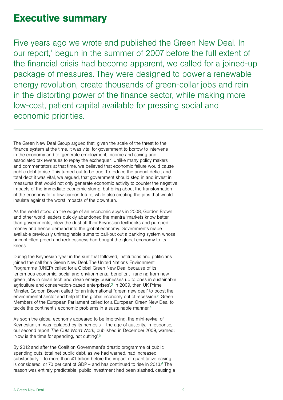## Executive summary

Five years ago we wrote and published the Green New Deal. In our report,<sup>1</sup> begun in the summer of 2007 before the full extent of the financial crisis had become apparent, we called for a joined-up package of measures. They were designed to power a renewable energy revolution, create thousands of green-collar jobs and rein in the distorting power of the finance sector, while making more low-cost, patient capital available for pressing social and economic priorities.

The Green New Deal Group argued that, given the scale of the threat to the finance system at the time, it was vital for government to borrow to intervene in the economy and to 'generate employment, income and saving and associated tax revenues to repay the exchequer.' Unlike many policy makers and commentators at that time, we believed that economic failure would cause public debt to rise. This turned out to be true. To reduce the annual deficit and total debt it was vital, we argued, that government should step in and invest in measures that would not only generate economic activity to counter the negative impacts of the immediate economic slump, but bring about the transformation of the economy for a low-carbon future, while also creating the jobs that would insulate against the worst impacts of the downturn.

As the world stood on the edge of an economic abyss in 2008, Gordon Brown and other world leaders quickly abandoned the mantra 'markets know better than governments', blew the dust off their Keynesian textbooks and pumped money and hence demand into the global economy. Governments made available previously unimaginable sums to bail-out out a banking system whose uncontrolled greed and recklessness had bought the global economy to its knees.

During the Keynesian 'year in the sun' that followed, institutions and politicians joined the call for a Green New Deal. The United Nations Environment Programme (UNEP) called for a Global Green New Deal because of its 'enormous economic, social and environmental benefits… ranging from new green jobs in clean tech and clean energy businesses up to ones in sustainable agriculture and conservation-based enterprises'.2 In 2009, then UK Prime Minster, Gordon Brown called for an international "green new deal" to boost the environmental sector and help lift the global economy out of recession.3 Green Members of the European Parliament called for a European Green New Deal to tackle the continent's economic problems in a sustainable manner.4

As soon the global economy appeared to be improving, the mini-revival of Keynesianism was replaced by its nemesis – the age of austerity. In response, our second report *The Cuts Won't Work,* published in December 2009, warned: 'Now is the time for spending, not cutting'.5

By 2012 and after the Coalition Government's drastic programme of public spending cuts, total net public debt, as we had warned, had increased substantially – to more than £1 trillion before the impact of quantitative easing is considered, or 70 per cent of GDP – and has continued to rise in 2013. $6$  The reason was entirely predictable: public investment had been slashed, causing a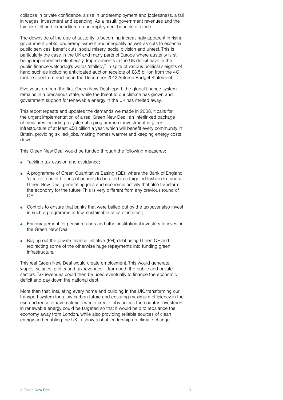collapse in private confidence, a rise in underemployment and joblessness, a fall in wages, investment and spending. As a result, government revenues and the tax-take fell and expenditure on unemployment benefits etc rose.

The downside of the age of austerity is becoming increasingly apparent in rising government debts, underemployment and inequality as well as cuts to essential public services, benefit cuts, social misery, social division and unrest. This is particularly the case in the UK and many parts of Europe where austerity is still being implemented relentlessly. Improvements in the UK deficit have in the public finance watchdog's words 'stalled',7 in spite of various political sleights of hand such as including anticipated auction receipts of £3.5 billion from the 4G mobile spectrum auction in the December 2012 Autumn Budget Statement.

Five years on from the first Green New Deal report, the global finance system remains in a precarious state, while the threat to our climate has grown and government support for renewable energy in the UK has melted away.

This report repeats and updates the demands we made in 2008. It calls for the urgent implementation of a real Green New Deal: an interlinked package of measures including a systematic programme of investment in green infrastructure of at least £50 billion a year, which will benefit every community in Britain, providing skilled-jobs, making homes warmer and keeping energy costs down.

This Green New Deal would be funded through the following measures:

- Tackling tax evasion and avoidance;
- A programme of Green Quantitative Easing  $(QE)$ , where the Bank of England 'creates' tens of billions of pounds to be used in a targeted fashion to fund a Green New Deal, generating jobs and economic activity that also transform the economy for the future. This is very different from any previous round of QE;
- Controls to ensure that banks that were bailed out by the taxpayer also invest in such a programme at low, sustainable rates of interest;
- Encouragement for pension funds and other institutional investors to invest in the Green New Deal;
- Buying out the private finance initiative (PFI) debt using Green QE and redirecting some of the otherwise huge repayments into funding green infrastructure.

This real Green New Deal would create employment. This would generate wages, salaries, profits and tax revenues – from both the public and private sectors. Tax revenues could then be used eventually to finance the economic deficit and pay down the national debt.

More than that, insulating every home and building in the UK, transforming our transport system for a low carbon future and ensuring maximum efficiency in the use and reuse of raw materials would create jobs across the country. Investment in renewable energy could be targeted so that it would help to rebalance the economy away from London, while also providing reliable sources of clean energy and enabling the UK to show global leadership on climate change.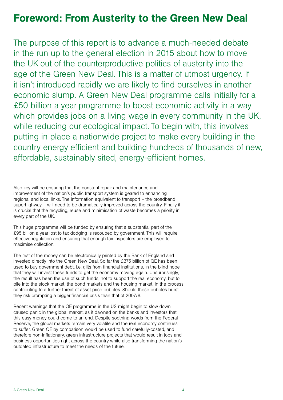## Foreword: From Austerity to the Green New Deal

The purpose of this report is to advance a much-needed debate in the run up to the general election in 2015 about how to move the UK out of the counterproductive politics of austerity into the age of the Green New Deal. This is a matter of utmost urgency. If it isn't introduced rapidly we are likely to find ourselves in another economic slump. A Green New Deal programme calls initially for a £50 billion a year programme to boost economic activity in a way which provides jobs on a living wage in every community in the UK, while reducing our ecological impact. To begin with, this involves putting in place a nationwide project to make every building in the country energy efficient and building hundreds of thousands of new, affordable, sustainably sited, energy-efficient homes.

Also key will be ensuring that the constant repair and maintenance and improvement of the nation's public transport system is geared to enhancing regional and local links. The information equivalent to transport – the broadband superhighway – will need to be dramatically improved across the country. Finally it is crucial that the recycling, reuse and minimisation of waste becomes a priority in every part of the UK.

This huge programme will be funded by ensuring that a substantial part of the £95 billion a year lost to tax dodging is recouped by government. This will require effective regulation and ensuring that enough tax inspectors are employed to maximise collection.

The rest of the money can be electronically printed by the Bank of England and invested directly into the Green New Deal. So far the £375 billion of QE has been used to buy government debt, i.e. gilts from financial institutions, in the blind hope that they will invest these funds to get the economy moving again. Unsurprisingly, the result has been the use of such funds, not to support the real economy, but to pile into the stock market, the bond markets and the housing market, in the process contributing to a further threat of asset price bubbles. Should these bubbles burst, they risk prompting a bigger financial crisis than that of 2007/8.

Recent warnings that the QE programme in the US might begin to slow down caused panic in the global market, as it dawned on the banks and investors that this easy money could come to an end. Despite soothing words from the Federal Reserve, the global markets remain very volatile and the real economy continues to suffer. Green QE by comparison would be used to fund carefully-costed, and therefore non-inflationary, green infrastructure projects that would result in jobs and business opportunities right across the country while also transforming the nation's outdated infrastructure to meet the needs of the future.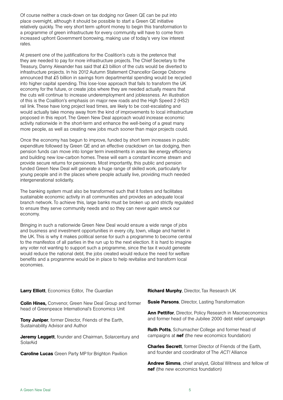Of course neither a crack-down on tax dodging nor Green QE can be put into place overnight, although it should be possible to start a Green QE initiative relatively quickly. The very short term upfront money to begin this transformation to a programme of green infrastructure for every community will have to come from increased upfront Government borrowing, making use of today's very low interest rates.

At present one of the justifications for the Coalition's cuts is the pretence that they are needed to pay for more infrastructure projects. The Chief Secretary to the Treasury, Danny Alexander has said that £3 billion of the cuts would be diverted to infrastructure projects. In his 2012 Autumn Statement Chancellor George Osborne announced that £5 billion in savings from departmental spending would be recycled into higher capital spending. This lose-lose approach that fails to transform the UK economy for the future, or create jobs where they are needed actually means that the cuts will continue to increase underemployment and joblessness. An illustration of this is the Coalition's emphasis on major new roads and the High Speed 2 (HS2) rail link. These have long project lead times, are likely to be cost-escalating and would actually take money away from the kind of improvements to local infrastructure proposed in this report. The Green New Deal approach would increase economic activity nationwide in the short-term and enhance the well-being of a great many more people, as well as creating new jobs much sooner than major projects could.

Once the economy has begun to improve, funded by short term increases in public expenditure followed by Green QE and an effective crackdown on tax dodging, then pension funds can move into longer term investments in areas like energy efficiency and building new low-carbon homes. These will earn a constant income stream and provide secure returns for pensioners. Most importantly, this public and pension funded Green New Deal will generate a huge range of skilled work, particularly for young people and in the places where people actually live, providing much needed intergenerational solidarity.

The banking system must also be transformed such that it fosters and facilitates sustainable economic activity in all communities and provides an adequate local branch network. To achieve this, large banks must be broken up and strictly regulated to ensure they serve community needs and so they can never again wreck our economy.

Bringing in such a nationwide Green New Deal would ensure a wide range of jobs and business and investment opportunities in every city, town, village and hamlet in the UK. This is why it makes political sense for such a programme to become central to the manifestos of all parties in the run up to the next election. It is hard to imagine any voter not wanting to support such a programme, since the tax it would generate would reduce the national debt, the jobs created would reduce the need for welfare benefits and a programme would be in place to help revitalise and transform local economies.

| Larry Elliott, Economics Editor, The Guardian                                                                      | <b>Richard Murphy, Director, Tax Research UK</b>                  |
|--------------------------------------------------------------------------------------------------------------------|-------------------------------------------------------------------|
| <b>Colin Hines,</b> Convenor, Green New Deal Group and former<br>head of Greenpeace International's Economics Unit | <b>Susie Parsons, Director, Lasting Transformation</b>            |
|                                                                                                                    | <b>Ann Pettifor, Director, Policy Research in Macroeconomics</b>  |
| Tony Juniper, former Director, Friends of the Earth,                                                               | and former head of the Jubilee 2000 debt relief campaign          |
| Sustainability Advisor and Author                                                                                  | <b>Ruth Potts, Schumacher College and former head of</b>          |
| <b>Jeremy Leggett</b> , founder and Chairman, Solarcentury and                                                     | campaigns at <b>nef</b> (the new economics foundation)            |
| SolarAid                                                                                                           | <b>Charles Secrett</b> , former Director of Friends of the Earth, |
| <b>Caroline Lucas</b> Green Party MP for Brighton Pavilion                                                         | and founder and coordinator of The ACT! Alliance                  |
|                                                                                                                    | Andrew Simms, chief analyst, Global Witness and fellow of         |

nef (the new economics foundation)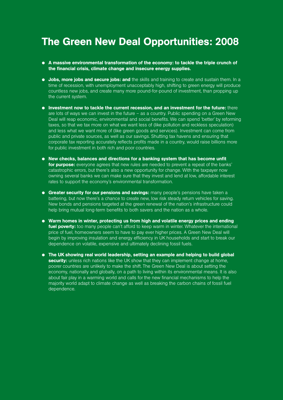## The Green New Deal Opportunities: 2008

- A massive environmental transformation of the economy: to tackle the triple crunch of the financial crisis, climate change and insecure energy supplies.
- $\bullet$  Jobs, more jobs and secure jobs: and the skills and training to create and sustain them. In a time of recession, with unemployment unacceptably high, shifting to green energy will produce countless new jobs, and create many more pound-for-pound of investment, than propping up the current system.
- $\bullet$  Investment now to tackle the current recession, and an investment for the future: there are lots of ways we can invest in the future – as a country. Public spending on a Green New Deal will reap economic, environmental and social benefits. We can spend 'better' by reforming taxes, so that we tax more on what we want less of (like pollution and reckless speculation) and less what we want more of (like green goods and services). Investment can come from public and private sources, as well as our savings. Shutting tax havens and ensuring that corporate tax reporting accurately reflects profits made in a country, would raise billions more for public investment in both rich and poor countries.
- $\bullet$  New checks, balances and directions for a banking system that has become unfit for purpose: everyone agrees that new rules are needed to prevent a repeat of the banks' catastrophic errors, but there's also a new opportunity for change. With the taxpayer now owning several banks we can make sure that they invest and lend at low, affordable interest rates to support the economy's environmental transformation.
- $\bullet$  Greater security for our pensions and savings: many people's pensions have taken a battering, but now there's a chance to create new, low risk steady return vehicles for saving. New bonds and pensions targeted at the green renewal of the nation's infrastructure could help bring mutual long-term benefits to both savers and the nation as a whole.
- Warm homes in winter, protecting us from high and volatile energy prices and ending fuel poverty: too many people can't afford to keep warm in winter. Whatever the international price of fuel, homeowners seem to have to pay ever higher prices. A Green New Deal will begin by improving insulation and energy efficiency in UK households and start to break our dependence on volatile, expensive and ultimately declining fossil fuels.
- **•** The UK showing real world leadership, setting an example and helping to build global security: unless rich nations like the UK show that they can implement change at home, poorer countries are unlikely to make the shift. The Green New Deal is about setting the economy, nationally and globally, on a path to living within its environmental means. It is also about fair play in a warming world and calls for the new financial mechanisms to help the majority world adapt to climate change as well as breaking the carbon chains of fossil fuel dependence.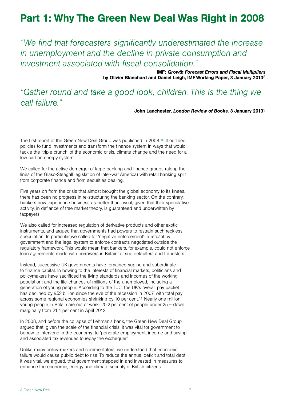## Part 1: Why The Green New Deal Was Right in 2008

*"We find that forecasters significantly underestimated the increase in unemployment and the decline in private consumption and investment associated with fiscal consolidation."*

> IMF: *Growth Forecast Errors and Fiscal Multipliers* by Olivier Blanchard and Daniel Leigh, IMF Working Paper, 3 January 20138

*"Gather round and take a good look, children. This is the thing we call failure."* 

John Lanchester, *London Review of Books.* 3 January 20139

The first report of the Green New Deal Group was published in 2008.10 It outlined policies to fund investments and transform the finance system in ways that would tackle the 'triple crunch' of the economic crisis, climate change and the need for a low carbon energy system.

We called for the active demerger of large banking and finance groups (along the lines of the Glass-Steagall legislation of inter-war America) with retail banking split from corporate finance and from securities dealing.

Five years on from the crisis that almost brought the global economy to its knees, there has been no progress in re-structuring the banking sector. On the contrary, bankers now experience business-as-better-than-usual, given that their speculative activity, in defiance of free market theory, is guaranteed and underwritten by taxpayers.

We also called for increased regulation of derivative products and other exotic instruments, and argued that governments had powers to restrain such reckless speculation. In particular we called for 'negative enforcement': a refusal by government and the legal system to enforce contracts negotiated outside the regulatory framework. This would mean that bankers, for example, could not enforce loan agreements made with borrowers in Britain, or sue defaulters and fraudsters.

Instead, successive UK governments have remained supine and subordinate to finance capital. In bowing to the interests of financial markets, politicians and policymakers have sacrificed the living standards and incomes of the working population; and the life-chances of millions of the unemployed, including a generation of young people. According to the TUC, the UK's overall pay packet has declined by £52 billion since the eve of the recession in 2007, with total pay across some regional economies shrinking by 10 per cent.11 Nearly one million young people in Britain are out of work: 20.2 per cent of people under 25 – down marginally from 21.4 per cent in April 2012.

In 2008, and before the collapse of Lehman's bank, the Green New Deal Group argued that, given the scale of the financial crisis, it was vital for government to borrow to intervene in the economy; to 'generate employment, income and saving, and associated tax revenues to repay the exchequer.'

Unlike many policy-makers and commentators, we understood that economic failure would cause public debt to rise. To reduce the annual deficit and total debt it was vital, we argued, that government stepped in and invested in measures to enhance the economic, energy and climate security of British citizens.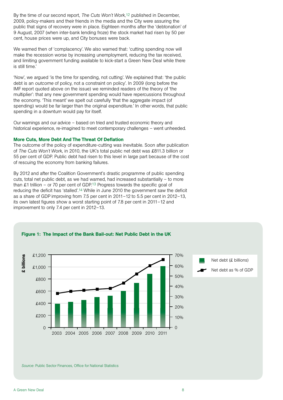By the time of our second report, *The Cuts Won't Work,*12 published in December, 2009, policy-makers and their friends in the media and the City were assuring the public that signs of recovery were in place. Eighteen months after the 'debtonation' of 9 August, 2007 (when inter-bank lending froze) the stock market had risen by 50 per cent, house prices were up, and City bonuses were back.

We warned then of 'complacency'. We also warned that: 'cutting spending now will make the recession worse by increasing unemployment, reducing the tax received, and limiting government funding available to kick-start a Green New Deal while there is still time.'

'Now', we argued 'is the time for spending, not cutting'. We explained that: 'the public debt is an *outcome* of policy, not a constraint on policy'. In 2009 (long before the IMF report quoted above on the issue) we reminded readers of the theory of 'the multiplier': that any new government spending would have repercussions throughout the economy. 'This meant' we spelt out carefully 'that the aggregate impact (of spending) would be far larger than the original expenditure.' In other words, that public spending in a downturn would pay for itself.

Our warnings and our advice – based on tried and trusted economic theory and historical experience, re-imagined to meet contemporary challenges – went unheeded.

## More Cuts, More Debt And The Threat Of Deflation

The outcome of the policy of expenditure-cutting was inevitable. Soon after publication of *The Cuts Won't Work*, in 2010, the UK's total public net debt was £811.3 billion or 55 per cent of GDP. Public debt had risen to this level in large part because of the cost of rescuing the economy from banking failures.

By 2012 and after the Coalition Government's drastic programme of public spending cuts, total net public debt, as we had warned, had increased substantially – to more than £1 trillion – or 70 per cent of GDP.<sup>13</sup> Progress towards the specific goal of reducing the deficit has 'stalled'.14 While in June 2010 the government saw the deficit as a share of GDP improving from 7.5 per cent in 2011–12 to 5.5 per cent in 2012–13, its own latest figures show a worst starting point of 7.8 per cent in 2011–12 and improvement to only 7.4 per cent in 2012–13.



Figure 1: The Impact of the Bank Bail-out: Net Public Debt in the UK

*Source*: Public Sector Finances, Office for National Statistics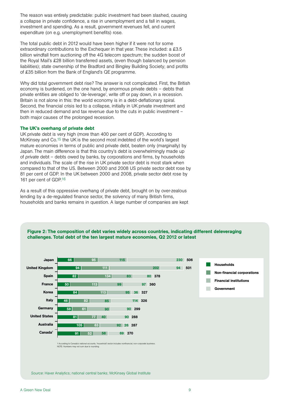The reason was entirely predictable: public investment had been slashed, causing a collapse in private confidence, a rise in unemployment and a fall in wages, investment and spending. As a result, government revenues fell, and current expenditure (on e.g. unemployment benefits) rose.

The total public debt in 2012 would have been higher if it were not for some extraordinary contributions to the Exchequer in that year. These included: a £3.5 billion windfall from auctioning off the 4G telecom spectrum; the sudden boost of the Royal Mail's £28 billion transferred assets, (even though balanced by pension liabilities); state ownership of the Bradford and Bingley Building Society; and profits of £35 billion from the Bank of England's QE programme.

Why did total government debt rise? The answer is not complicated. First, the British economy is burdened, on the one hand, by enormous private debts – debts that private entities are obliged to 'de-leverage', write off or pay down, in a recession. Britain is not alone in this: the world economy is in a debt-deflationary spiral. Second, the financial crisis led to a collapse, initially in UK private investment and then in reduced demand and tax revenue due to the cuts in public investment – both major causes of the prolonged recession.

## The UK's overhang of private debt

UK private debt is very high (more than 400 per cent of GDP). According to McKinsey and Co.15 the UK is the second most indebted of the world's largest mature economies in terms of public and private debt, beaten only (marginally) by Japan. The main difference is that this country's debt is overwhelmingly made up of *private* debt – debts owed by banks, by corporations and firms, by households and individuals. The scale of the rise in UK private sector debt is most stark when compared to that of the US. Between 2000 and 2008 US private sector debt rose by 81 per cent of GDP. In the UK between 2000 and 2008, private sector debt rose by 161 per cent of GDP.<sup>16</sup>

As a result of this oppressive overhang of private debt, brought on by over-zealous lending by a de-regulated finance sector, the solvency of many British firms, households and banks remains in question. A large number of companies are kept



Figure 2: The composition of debt varies widely across countries, indicating different deleveraging challenges. Total debt of the ten largest mature economies, Q2 2012 or latest

1 According to Canada's national accounts, 'household' sector includes nonfinancial, non-corporate business. NOTE: Numbers may not sum due to rounding.

*Source*: Haver Analytics; national central banks; McKinsey Global Institute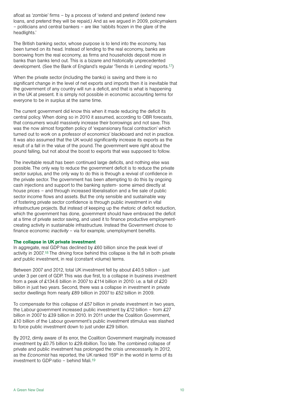afloat as 'zombie' firms – by a process of 'extend and pretend' (extend new loans, and pretend they will be repaid.) And as we argued in 2009, policymakers – politicians and central bankers – are like 'rabbits frozen in the glare of the headlights.'

The British banking sector, whose purpose is to lend into the economy, has been turned on its head. Instead of lending to the real economy, banks are borrowing from the real economy, as firms and households deposit more in banks than banks lend out. This is a bizarre and historically unprecedented development. (See the Bank of England's regular 'Trends in Lending' reports.17)

When the private sector (including the banks) is saving and there is no significant change in the level of net exports and imports then it is inevitable that the government of any country will run a deficit, and that is what is happening in the UK at present. It is simply not possible in economic accounting terms for everyone to be in surplus at the same time.

The current government did know this when it made reducing the deficit its central policy. When doing so in 2010 it assumed, according to OBR forecasts, that consumers would massively increase their borrowings and not save. This was the now almost forgotten policy of 'expansionary fiscal contraction' which turned out to work on a professor of economics' blackboard and not in practice. It was also assumed that the UK would significantly increase its exports as the result of a fall in the value of the pound. The government were right about the pound falling, but not about the boost to exports that was supposed to follow.

The inevitable result has been continued large deficits, and nothing else was possible. The only way to reduce the government deficit is to reduce the private sector surplus, and the only way to do this is through a revival of confidence in the private sector. The government has been attempting to do this by ongoing cash injections and support to the banking system- some aimed directly at house prices – and through increased liberalisation and a fire sale of public sector income flows and assets. But the only sensible and sustainable way of fostering private sector confidence is through public investment in vital infrastructure projects. But instead of keeping up the rhetoric of deficit reduction, which the government has done, government should have embraced the deficit at a time of private sector saving, and used it to finance productive employmentcreating activity in sustainable infrastructure. Instead the Government chose to finance economic *inactivity* – via for example, unemployment benefits.

## The collapse in UK private investment

In aggregate, real GDP has declined by £60 billion since the peak level of activity in 2007.18 The driving force behind this collapse is the fall in both private *and* public investment, in real (constant volume) terms.

Between 2007 and 2012, total UK investment fell by about £40.5 billion – just under 3 per cent of GDP. This was due first, to a collapse in business investment from a peak of £134.6 billion in 2007 to £114 billion in 2010: i.e. a fall of £20 billion in just two years. Second, there was a collapse in investment in private sector dwellings from nearly £89 billion in 2007 to £52 billion in 2009.

To compensate for this collapse of £57 billion in private investment in two years, the Labour government increased public investment by £12 billion – from £27 billion in 2007 to £39 billion in 2010. In 2011 under the Coalition Government, £10 billion of the Labour government's public investment stimulus was slashed to force public investment down to just under £29 billion.

By 2012, dimly aware of its error, the Coalition Government marginally increased investment by £0.75 billion to £29.4billion. Too late. The combined collapse of private and public investment has prolonged the crisis unnecessarily. In 2012, as the *Economist* has reported, the UK ranked 159<sup>th</sup> in the world in terms of its investment to GDP ratio – behind Mali.19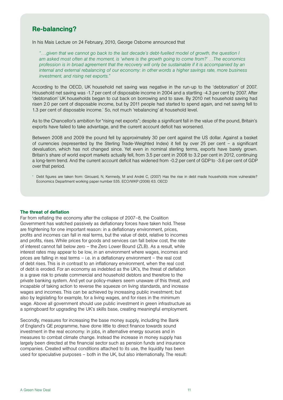## Re-balancing?

In his Mais Lecture on 24 February, 2010, George Osborne announced that

*"….given that we cannot go back to the last decade's debt-fuelled model of growth, the question I am asked most often at the moment, is 'where is the growth going to come from?' …The economics profession is in broad agreement that the recovery will only be sustainable if it is accompanied by an internal and external rebalancing of our economy: in other words a higher savings rate, more business investment, and rising net exports."*

According to the OECD, UK household net saving was negative in the run-up to the 'debtonation' of 2007. Household net saving was -1.7 per cent of disposable income in 2004 and a startling -4.3 per cent by 2007. After 'debtonation' UK households began to cut back on borrowing and to save. By 2010 net household saving had risen 2.0 per cent of disposable income, but by 2011 people had started to spend again, and net saving fell to 1.3 per cent of disposable income.\* So, not much 'rebalancing' at household level.

As to the Chancellor's ambition for "rising net exports"; despite a significant fall in the value of the pound, Britain's exports have failed to take advantage, and the current account deficit has worsened.

Between 2008 and 2009 the pound fell by approximately 30 per cent against the US dollar. Against a basket of currencies (represented by the Sterling Trade-Weighted Index) it fell by over 25 per cent – a significant devaluation, which has not changed since. Yet even in nominal sterling terms, exports have barely grown. Britain's share of world export markets actually fell, from 3.5 per cent in 2008 to 3.2 per cent in 2012, continuing a long-term trend. And the current account deficit has widened from -0.2 per cent of GDP to -3.6 per cent of GDP over that period.

\* Debt figures are taken from: Girouard, N, Kennedy, M and André C, (2007) Has the rise in debt made households more vulnerable? Economics Department working paper number 535. ECO/WKP (2006) 63. OECD

## The threat of deflation

Far from reflating the economy after the collapse of 2007–8, the Coalition Government has watched passively as deflationary forces have taken hold. These are frightening for one important reason: in a deflationary environment, prices, profits and incomes can fall in real terms, but the value of debt, relative to incomes and profits, rises. While prices for goods and services can fall below cost, the rate of interest cannot fall below zero – the Zero Lower Bound (ZLB). As a result, while interest rates may appear to be low, in an environment where wages, incomes and prices are falling in real terms – i.e. in a deflationary environment – the real cost of debt rises. This is in contrast to an inflationary environment, when the real cost of debt is eroded. For an economy as indebted as the UK's, the threat of deflation is a grave risk to private commercial and household debtors and therefore to the private banking system. And yet our policy-makers seem unaware of this threat, and incapable of taking action to reverse the squeeze on living standards, and increase wages and incomes. This can be achieved by increasing public investment; but also by legislating for example, for a living wages, and for rises in the minimum wage. Above all government should use public investment in green infrastructure as a springboard for upgrading the UK's skills base, creating meaningful employment.

Secondly, measures for increasing the base money supply, including the Bank of England's QE programme, have done little to direct finance towards sound investment in the real economy: in jobs, in alternative energy sources and in measures to combat climate change. Instead the increase in money supply has largely been directed at the financial sector such as pension funds and insurance companies. Created without conditions attached to its use, the liquidity has been used for speculative purposes – both in the UK, but also internationally. The result: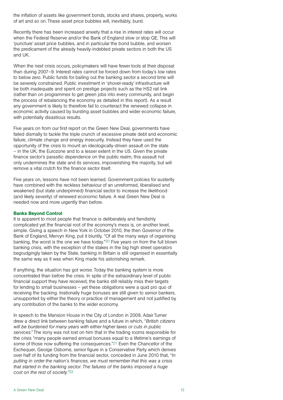the inflation of assets like government bonds, stocks and shares, property, works of art and so on. These asset price bubbles will, inevitably, burst.

Recently there has been increased anxiety that a rise in interest rates will occur when the Federal Reserve and/or the Bank of England slow or stop QE. This will 'puncture' asset price bubbles, and in particular the bond bubble, and worsen the predicament of the already heavily-indebted private sectors in both the US and UK.

When the next crisis occurs, policymakers will have fewer tools at their disposal than during 2007–9. Interest rates cannot be forced down from today's low rates to below zero. Public funds for bailing out the banking sector a second time will be severely constrained. Public investment in 'shovel-ready' infrastructure will be both inadequate and spent on prestige projects such as the HS2 rail link (rather than on programmes to get green jobs into every community, and begin the process of rebalancing the economy as detailed in this report). As a result any government is likely to therefore fail to counteract the renewed collapse in economic activity caused by bursting asset bubbles and wider economic failure, with potentially disastrous results.

Five years on from our first report on the Green New Deal, governments have failed dismally to tackle the triple crunch of excessive private debt and economic failure, climate change and energy insecurity. Instead they have used the opportunity of the crisis to mount an ideologically-driven assault on the state – in the UK, the Eurozone and to a lesser extent in the US. Given the private finance sector's parasitic dependence on the public realm, this assault not only undermines the state and its services, impoverishing the majority, but will remove a vital crutch for the finance sector itself.

Five years on, lessons have not been learned. Government policies for austerity have combined with the reckless behaviour of an unreformed, liberalised and weakened (but state underpinned) financial sector to increase the likelihood (and likely severity) of renewed economic failure. A real Green New Deal is needed now and more urgently than before.

## Banks Beyond Control

It is apparent to most people that finance is deliberately and fiendishly complicated yet the financial root of the economy's mess is, on another level, simple. Giving a speech in New York in October 2010, the then Governor of the Bank of England, Mervyn King, put it bluntly, "Of all the many ways of organising banking, the worst is the one we have today."20 Five years on from the full blown banking crisis*,* with the exception of the stakes in the big high street operators begrudgingly taken by the State, banking in Britain is still organised in essentially the same way as it was when King made his astonishing remark.

If anything, the situation has got worse. Today the banking system is more concentrated than before the crisis. In spite of the extraordinary level of public financial support they have received, the banks still reliably miss their targets for lending to small businesses – yet these obligations were a quid pro quo of receiving the backing. Irrationally huge bonuses are still given to senior bankers, unsupported by either the theory or practice of management and not justified by any contribution of the banks to the wider economy.

In speech to the Mansion House in the City of London in 2009, Adair Turner drew a direct link between banking failure and a future in which, "*British citizens will be burdened for many years with either higher taxes or cuts in public services*." The irony was not lost on him that in the trading rooms responsible for the crisis "many people earned annual bonuses equal to a lifetime's earnings of some of those now suffering the consequences."<sup>21</sup> Even the Chancellor of the Exchequer, George Osborne, senior figure in a Conservative Party which derives over half of its funding from the financial sector, conceded in June 2010 that, "*In putting in order the nation's finances, we must remember that this was a crisis that started in the banking sector. The failures of the banks imposed a huge cost on the rest of society."*22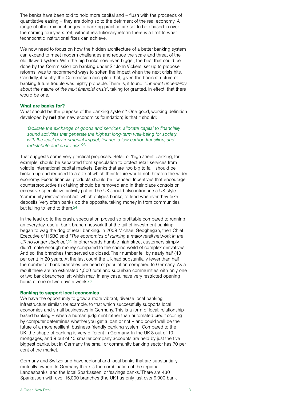The banks have been told to hold more capital and – flush with the proceeds of quantitative easing – they are doing so to the detriment of the real economy. A range of other minor changes to banking practice are set to be phased in over the coming four years. Yet, without revolutionary reform there is a limit to what technocratic institutional fixes can achieve.

We now need to focus on how the hidden architecture of a better banking system can expand to meet modern challenges and reduce the scale and threat of the old, flawed system. With the big banks now even bigger, the best that could be done by the Commission on banking under Sir John Vickers, set up to propose reforms, was to recommend ways to soften the impact when the next crisis hits. Candidly, if subtly, the Commission accepted that, given the basic structure of banking future trouble was highly probable. There is, it found, "*inherent uncertainty about the nature of the next financial crisis*", taking for granted, in effect, that there would be one.

### What are banks for?

What should be the purpose of the banking system? One good, working definition developed by **nef** (the new economics foundation) is that it should:

*'facilitate the exchange of goods and services, allocate capital to financially sound activities that generate the highest long-term well-being for society, with the least environmental impact, finance a low carbon transition, and redistribute and share risk.'*23

That suggests some very practical proposals. Retail or 'high street' banking, for example, should be separated from speculation to protect retail services from volatile international capital markets. Banks that are 'too big to fail,' should be broken up and reduced to a size at which their failure would not threaten the wider economy. Exotic financial products should be licensed. Incentives that encourage counterproductive risk taking should be removed and in their place controls on excessive speculative activity put in. The UK should also introduce a US style 'community reinvestment act' which obliges banks, to lend wherever they take deposits. Very often banks do the opposite, taking money in from communities but failing to lend to them.24

In the lead up to the crash, speculation proved so profitable compared to running an everyday, useful bank branch network that the tail of investment banking began to wag the dog of retail banking. In 2009 Michael Geoghegan, then Chief Executive of HSBC said "*The economics of running a major retail network in the UK no longer stack up"*.25 In other words humble high street customers simply didn't make enough money compared to the casino world of complex derivatives. And so, the branches that served us closed. Their number fell by nearly half (43 per cent) in 20 years. At the last count the UK had substantially fewer than half the number of bank branches per head of population compared to Germany. As a result there are an estimated 1,500 rural and suburban communities with only one or two bank branches left which may, in any case, have very restricted opening hours of one or two days a week.26

#### Banking to support local economies

We have the opportunity to grow a more vibrant, diverse local banking infrastructure similar, for example, to that which successfully supports local economies and small businesses in Germany. This is a form of local, relationshipbased banking – when a human judgment rather than automated credit scoring by computer determines whether you get a loan or not – and could well be the future of a more resilient, business-friendly banking system. Compared to the UK, the shape of banking is very different in Germany. In the UK 8 out of 10 mortgages, and 9 out of 10 smaller company accounts are held by just the five biggest banks, but in Germany the small or community banking sector has 70 per cent of the market.

Germany and Switzerland have regional and local banks that are substantially mutually owned. In Germany there is the combination of the regional Landesbanks, and the local Sparkassen, or 'savings banks.' There are 430 Sparkassen with over 15,000 branches (the UK has only just over 9,000 bank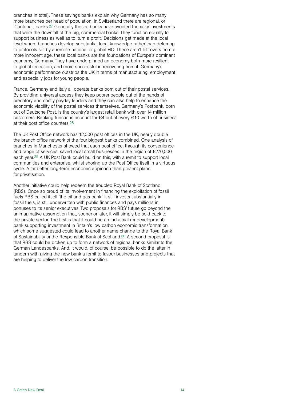branches in total). These savings banks explain why Germany has so many more branches per head of population. In Switzerland there are regional, or 'Cantonal', banks.27 Generally theses banks have avoided the risky investments that were the downfall of the big, commercial banks. They function equally to support business as well as to 'turn a profit.' Decisions get made at the local level where branches develop substantial local knowledge rather than deferring to protocols set by a remote national or global HQ. These aren't left overs from a more innocent age, these local banks are the foundations of Europe's dominant economy, Germany. They have underpinned an economy both more resilient to global recession, and more successful in recovering from it. Germany's economic performance outstrips the UK in terms of manufacturing, employment and especially jobs for young people.

France, Germany and Italy all operate banks born out of their postal services. By providing universal access they keep poorer people out of the hands of predatory and costly payday lenders and they can also help to enhance the economic viability of the postal services themselves. Germany's Postbank, born out of Deutsche Post, is the country's largest retail bank with over 14 million customers. Banking functions account for €4 out of every €10 worth of business at their post office counters.28

The UK Post Office network has 12,000 post offices in the UK, nearly double the branch office network of the four biggest banks combined. One analysis of branches in Manchester showed that each post office, through its convenience and range of services, saved local small businesses in the region of £270,000 each year.29 A UK Post Bank could build on this, with a remit to support local communities and enterprise, whilst shoring up the Post Office itself in a virtuous cycle. A far better long-term economic approach than present plans for privatisation.

Another initiative could help redeem the troubled Royal Bank of Scotland (RBS). Once so proud of its involvement in financing the exploitation of fossil fuels RBS called itself 'the oil and gas bank.' It still invests substantially in fossil fuels, is still underwritten with public finances and pays millions in bonuses to its senior executives. Two proposals for RBS' future go beyond the unimaginative assumption that, sooner or later, it will simply be sold back to the private sector. The first is that it could be an industrial (or development) bank supporting investment in Britain's low carbon economic transformation, which some suggested could lead to another name change to the Royal Bank of Sustainability or the Responsible Bank of Scotland.30 A second proposal is that RBS could be broken up to form a network of regional banks similar to the German Landesbanks. And, it would, of course, be possible to do the latter in tandem with giving the new bank a remit to favour businesses and projects that are helping to deliver the low carbon transition.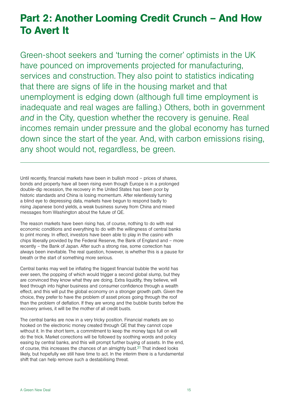## Part 2: Another Looming Credit Crunch – And How To Avert It

Green-shoot seekers and 'turning the corner' optimists in the UK have pounced on improvements projected for manufacturing, services and construction. They also point to statistics indicating that there are signs of life in the housing market and that unemployment is edging down (although full time employment is inadequate and real wages are falling.) Others, both in government *and* in the City, question whether the recovery is genuine. Real incomes remain under pressure and the global economy has turned down since the start of the year. And, with carbon emissions rising, any shoot would not, regardless, be green.

Until recently, financial markets have been in bullish mood – prices of shares, bonds and property have all been rising even though Europe is in a prolonged double-dip recession, the recovery in the United States has been poor by historic standards and China is losing momentum. After relentlessly turning a blind eye to depressing data, markets have begun to respond badly to rising Japanese bond yields, a weak business survey from China and mixed messages from Washington about the future of QE.

The reason markets have been rising has, of course, nothing to do with real economic conditions and everything to do with the willingness of central banks to print money. In effect, investors have been able to play in the casino with chips liberally provided by the Federal Reserve, the Bank of England and – more recently – the Bank of Japan. After such a strong rise, some correction has always been inevitable. The real question, however, is whether this is a pause for breath or the start of something more serious.

Central banks may well be inflating the biggest financial bubble the world has ever seen, the popping of which would trigger a second global slump, but they are convinced they know what they are doing. Extra liquidity, they believe, will feed through into higher business and consumer confidence through a wealth effect, and this will put the global economy on a stronger growth path. Given the choice, they prefer to have the problem of asset prices going through the roof than the problem of deflation. If they are wrong and the bubble bursts before the recovery arrives, it will be the mother of all credit busts.

The central banks are now in a very tricky position. Financial markets are so hooked on the electronic money created through QE that they cannot cope without it. In the short term, a commitment to keep the money taps full on will do the trick. Market corrections will be followed by soothing words and policy easing by central banks, and this will prompt further buying of assets. In the end, of course, this increases the chances of an almighty bust.31 That indeed looks likely, but hopefully we still have time to act. In the interim there is a fundamental shift that can help remove such a destabilising threat.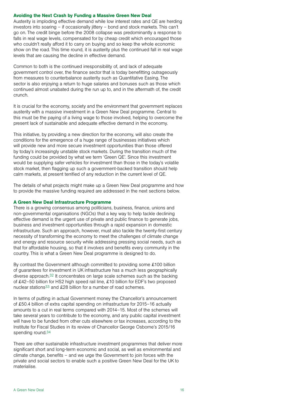### Avoiding the Next Crash by Funding a Massive Green New Deal

Austerity is imploding effective demand while low interest rates and QE are herding investors into soaring – if occasionally jittery – bond and stock markets. This can't go on. The credit binge before the 2008 collapse was predominantly a response to falls in real wage levels, compensated for by cheap credit which encouraged those who couldn't really afford it to carry on buying and so keep the whole economic show on the road. This time round, it is austerity plus the continued fall in real wage levels that are causing the decline in effective demand.

Common to both is the continued irresponsibility of, and lack of adequate government control over, the finance sector that is today benefitting outrageously from measures to counterbalance austerity such as Quantitative Easing. The sector is also enjoying a return to huge salaries and bonuses such as those which continued almost unabated during the run up to, and in the aftermath of, the credit crunch.

It is crucial for the economy, society and the environment that government replaces austerity with a massive investment in a Green New Deal programme. Central to this must be the paying of a living wage to those involved, helping to overcome the present lack of sustainable and adequate effective demand in the economy.

This initiative, by providing a new direction for the economy, will also create the conditions for the emergence of a huge range of businesses initiatives which will provide new and more secure investment opportunities than those offered by today's increasingly unstable stock markets. During the transition much of the funding could be provided by what we term 'Green QE'. Since this investment would be supplying safer vehicles for investment than those in the today's volatile stock market, then flagging up such a government-backed transition should help calm markets, at present terrified of any reduction in the current level of QE.

The details of what projects might make up a Green New Deal programme and how to provide the massive funding required are addressed in the next sections below.

### A Green New Deal Infrastructure Programme

There is a growing consensus among politicians, business, finance, unions and non-governmental organisations (NGOs) that a key way to help tackle declining effective demand is the urgent use of private and public finance to generate jobs, business and investment opportunities through a rapid expansion in domestic infrastructure. Such an approach, however, must also tackle the twenty-first century necessity of transforming the economy to meet the challenges of climate change and energy and resource security while addressing pressing social needs, such as that for affordable housing, so that it involves and benefits every community in the country. This is what a Green New Deal programme is designed to do.

By contrast the Government although committed to providing some £100 billion of guarantees for investment in UK infrastructure has a much less geographically diverse approach.32 It concentrates on large scale schemes such as the backing of £42–50 billion for HS2 high speed rail line, £10 billion for EDF's two proposed nuclear stations33 and £28 billion for a number of road schemes.

In terms of putting in actual Government money the Chancellor's announcement of £50.4 billion of extra capital spending on infrastructure for 2015–16 actually amounts to a cut in real terms compared with 2014–15. Most of the schemes will take several years to contribute to the economy, and any public capital investment will have to be funded from other cuts elsewhere or tax increases, according to the Institute for Fiscal Studies in its review of Chancellor George Osborne's 2015/16 spending round.34

There are other sustainable infrastructure investment programmes that deliver more significant short and long-term economic and social, as well as environmental and climate change, benefits – and we urge the Government to join forces with the private and social sectors to enable such a positive Green New Deal for the UK to materialise.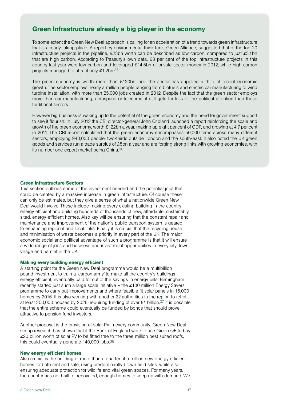## Green Infrastructure already a big player in the economy

To some extent the Green New Deal approach is calling for an acceleration of a trend towards green infrastructure that is already taking place. A report by environmental think tank, Green Alliance, suggested that of the top 20 infrastructure projects in the pipeline, £23bn worth can be described as low carbon, compared to just £3.1bn that are high carbon. According to Treasury's own data, 63 per cent of the top infrastructure projects in this country last year were low carbon and leveraged £14.5bn of private sector money in 2012, while high carbon projects managed to attract only £1.2bn.35

The green economy is worth more than £120bn, and the sector has supplied a third of recent economic growth. The sector employs nearly a million people ranging from biofuels and electric car manufacturing to wind turbine installation, with more than 25,000 jobs created in 2012. Despite the fact that the green sector employs more than car manufacturing, aerospace or telecoms, it still gets far less of the political attention than these traditional sectors.

However big business is waking up to the potential of the green economy and the need for government support to see it flourish. In July 2012 the CBI director-general John Cridland launched a report reinforcing the scale and growth of the green economy, worth £122bn a year, making up eight per cent of GDP, and [growing at 4.7 per cent](http://www.bis.gov.uk/policies/business-sectors/green-economy/market-intelligence) [in 2011](http://www.bis.gov.uk/policies/business-sectors/green-economy/market-intelligence). The CBI report calculated that the green economy encompasses 50,000 firms across many different sectors, employing 940,000 people, two-thirds outside London and the south-east. It also noted the UK green goods and services run a trade surplus of £5bn a year and are forging strong links with growing economies, with its number one export market being China.36

## Green Infrastructure Sectors

This section outlines some of the investment needed and the potential jobs that could be created by a massive increase in green infrastructure. Of course these can only be estimates, but they give a sense of what a nationwide Green New Deal would involve. These include making every existing building in the country energy efficient and building hundreds of thousands of new, affordable, sustainably sited, energy-efficient homes. Also key will be ensuring that the constant repair and maintenance and improvement of the nation's public transport system is geared to enhancing regional and local links. Finally it is crucial that the recycling, reuse and minimisation of waste becomes a priority in every part of the UK. The major economic social and political advantage of such a programme is that it will ensure a wide range of jobs and business and investment opportunities in every city, town, village and hamlet in the UK.

### Making every building energy efficient

A starting point for the Green New Deal programme would be a multibillion pound investment to train a 'carbon army' to make all the country's buildings energy efficient, eventually paid for out of the savings in energy bills. Birmingham recently started just such a large scale initiative – the £100 million Energy Savers programme to carry out improvements and where feasible fit solar panels in 15,000 homes by 2016. It is also working with another 22 authorities in the region to retrofit at least 200,000 houses by 2026, requiring funding of over £1 billion.<sup>37</sup> It is possible that the entire scheme could eventually be funded by bonds that should prove attractive to pension fund investors.

Another proposal is the provision of solar PV in every community. Green New Deal Group research has shown that if the Bank of England were to use Green QE to buy £20 billion worth of solar PV to be fitted free to the three million best suited roofs, this could eventually generate 140,000 jobs.38

#### New energy efficient homes

Also crucial is the building of more than a quarter of a million new energy efficient homes for both rent and sale, using predominantly brown field sites, while also ensuring adequate protection for wildlife and vital green spaces. For many years, the country has not built, or renovated, enough homes to keep up with demand. We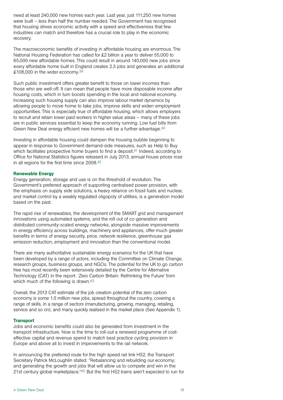need at least 240,000 new homes each year. Last year, just 111,250 new homes were built – less than half the number needed. The Government has recognised that housing drives economic activity with a speed and effectiveness that few industries can match and therefore has a crucial role to play in the economic recovery.

The macroeconomic benefits of investing in affordable housing are enormous. The National Housing Federation has called for £2 billion a year to deliver 55,000 to 65,000 new affordable homes. This could result in around 140,000 new jobs since every affordable home built in England creates 2.3 jobs and generates an additional £108,000 in the wider economy.39

Such public investment offers greater benefit to those on lower incomes than those who are well-off. It can mean that people have more disposable income after housing costs, which in turn boosts spending in the local and national economy. Increasing such housing supply can also improve labour market dynamics by allowing people to move home to take jobs, improve skills and widen employment opportunities. This is especially true of affordable housing, which allows employers to recruit and retain lower paid workers in higher value areas – many of these jobs are in public services essential to keep the economy running. Low fuel bills from Green New Deal energy efficient new homes will be a further advantage.40

Investing in affordable housing could dampen the housing bubble beginning to appear in response to Government demand-side measures, such as Help to Buy which facilitates prospective home buyers to find a deposit.<sup>41</sup> Indeed, according to Office for National Statistics figures released in July 2013, [annual house prices rose](http://www.guardian.co.uk/money/2013/jul/16/house-prices-rise-uk)  [in all regions for the first time since 2008.](http://www.guardian.co.uk/money/2013/jul/16/house-prices-rise-uk)42

### Renewable Energy

Energy generation, storage and use is on the threshold of revolution. The Government's preferred approach of supporting centralised power provision, with the emphasis on supply side solutions, a heavy reliance on fossil fuels and nuclear, and market control by a weakly regulated oligopoly of utilities, is a generation model based on the past.

The rapid rise of renewables, the development of the SMART grid and management innovations using automated systems, and the roll out of co-generation and distributed community-scaled energy networks, alongside massive improvements in energy efficiency across buildings, machinery and appliances, offer much greater benefits in terms of energy security, price, network resilience, greenhouse gas emission reduction, employment and innovation than the conventional model.

There are many authoritative sustainable energy scenarios for the UK that have been developed by a range of actors, including the Committee on Climate Change, research groups, business groups, and NGOs. The potential for the UK to go carbon free has most recently been extensively detailed by the Centre for Alternative Technology (CAT) in the report: 'Zero Carbon Britain: Rethinking the Future' from which much of the following is drawn.<sup>43</sup>

Overall, the 2013 CAT estimate of the job creation potential of the zero carbon economy is some 1.5 million new jobs, spread throughout the country, covering a range of skills, in a range of sectors (manufacturing, growing, managing, retailing, service and so on), and many quickly realised in the market place (See Appendix 1).

## **Transport**

Jobs and economic benefits could also be generated from investment in the transport infrastructure. Now is the time to roll-out a renewed programme of costeffective capital and revenue spend to match best practice cycling provision in Europe and above all to invest in improvements to the rail network.

In announcing the preferred route for the high speed rail link HS2, the Transport Secretary Patrick McLoughlin stated: "Rebalancing and rebuilding our economy; and generating the growth and jobs that will allow us to compete and win in the 21st century global marketplace."45 But the first HS2 trains aren't expected to run for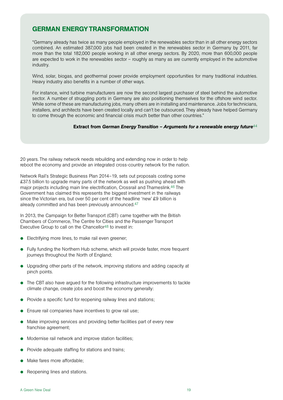## GERMAN ENERGY TRANSFORMATION

"Germany already has twice as many people employed in the renewables sector than in all other energy sectors combined. An estimated 387,000 jobs had been created in the renewables sector in Germany by 2011, far more than the total 182,000 people working in all other energy sectors. By 2020, more than 600,000 people are expected to work in the renewables sector – roughly as many as are currently employed in the automotive industry.

Wind, solar, biogas, and geothermal power provide employment opportunities for many traditional industries. Heavy industry also benefits in a number of other ways.

For instance, wind turbine manufacturers are now the second largest purchaser of steel behind the automotive sector. A number of struggling ports in Germany are also positioning themselves for the offshore wind sector. While some of these are manufacturing jobs, many others are in installing and maintenance. Jobs for technicians, installers, and architects have been created locally and can't be outsourced. They already have helped Germany to come through the economic and financial crisis much better than other countries."

## Extract from *German Energy Transition – Arguments for a renewable energy future*<sup>44</sup>

20 years. The railway network needs rebuilding and extending now in order to help reboot the economy and provide an integrated cross-country network for the nation.

Network Rail's Strategic Business Plan 2014–19, sets out proposals costing some £37.5 billion to upgrade many parts of the network as well as pushing ahead with major projects including main line electrification, Crossrail and Thameslink.46 The Government has claimed this represents the biggest investment in the railways since the Victorian era, but over 50 per cent of the headline 'new' £9 billion is already committed and has been previously announced.47

In 2013, the Campaign for Better Transport (CBT) came together with the British Chambers of Commerce, The Centre for Cities and the Passenger Transport Executive Group to call on the Chancellor48 to invest in:

- $\bullet$  Electrifying more lines, to make rail even greener;
- Fully funding the [Northern Hub scheme,](http://www.networkrail.co.uk/aspx/6472.aspx) which will provide faster, more frequent journeys throughout the North of England;
- $\bullet$  Upgrading other parts of the network, improving stations and adding capacity at pinch points.
- The CBT also have argued for the following infrastructure improvements to tackle climate change, create jobs and boost the economy generally:
- Provide a specific fund for reopening railway lines and stations;
- Ensure rail companies have incentives to grow rail use;
- Make improving services and providing better facilities part of every new franchise agreement;
- Modernise rail network and [improve station facilities;](http://www.bettertransport.org.uk/campaigns/railways-fit-for-the-future/better-stations)
- Provide adequate staffing for stations and trains;
- Make fares more affordable:
- Reopening lines and stations.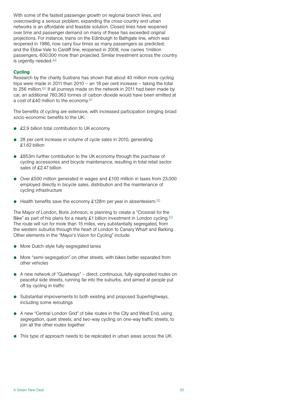With some of the fastest passenger growth on regional branch lines, and overcrowding a serious problem, expanding the cross-country and urban networks is an affordable and feasible solution. Closed lines have reopened over time and passenger demand on many of these has exceeded original projections. For instance, trains on the Edinburgh to Bathgate line, which was reopened in 1986, now carry four times as many passengers as predicted; and the Ebbw Vale to Cardiff line, reopened in 2008, now carries 1million passengers, 600,000 more than projected. Similar investment across the country is urgently needed.49

## **Cycling**

Research by the charity Sustrans has shown that about 40 million more cycling trips were made in 2011 than 2010 – an 18 per cent increase – taking the total to 256 million.50 If all journeys made on the network in 2011 had been made by car, an additional 760,363 tonnes of carbon dioxide would have been emitted at a cost of £40 million to the economy.51

The benefits of cycling are extensive, with increased participation bringing broad socio-economic benefits to the UK:

- $\bullet$  £2.9 billion total contribution to UK economy
- $\bullet$  28 per cent increase in volume of cycle sales in 2010, generating £1.62 billion
- £853m further contribution to the UK economy through the purchase of cycling accessories and bicycle maintenance, resulting in total retail sector sales of £2.47 billion
- Over £500 million generated in wages and £100 million in taxes from 23,000 employed directly in bicycle sales, distribution and the maintenance of cycling infrastructure
- $\bullet$  Health benefits save the economy £128m per year in absenteeism.<sup>52</sup>

The Mayor of London, Boris Johnson, is planning to create a "Crossrail for the Bike" as part of his plans for a nearly £1 billion investment in London cycling.<sup>53</sup> The route will run for more than 15 miles, very substantially segregated, from the western suburbs through the heart of London to Canary Wharf and Barking. Other elements in the "Mayor's Vision for Cycling" include:

- More Dutch-style fully-segregated lanes
- More "semi-segregation" on other streets, with bikes better separated from other vehicles
- $\bullet$  A new network of "Quietways" direct, continuous, fully-signposted routes on peaceful side streets, running far into the suburbs, and aimed at people put off by cycling in traffic
- Substantial improvements to both existing and proposed Superhighways, including some reroutings
- A new "Central London Grid" of bike routes in the City and West End, using segregation, quiet streets, and two-way cycling on one-way traffic streets, to join all the other routes together
- This type of approach needs to be replicated in urban areas across the UK.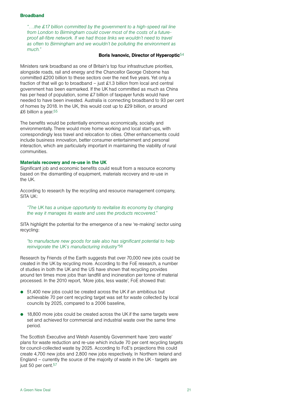## Broadband

*"….the £17 billion committed by the government to a high-speed rail line from London to Birmingham could cover most of the costs of a futureproof all-fibre network. If we had those links we wouldn't need to travel as often to Birmingham and we wouldn't be polluting the environment as much."*

## Boris Ivanovic, Director of Hyperoptic<sup>54</sup>

Ministers rank broadband as one of Britain's top four infrastructure priorities, alongside roads, rail and energy and the Chancellor George Osborne has committed £200 billion to these sectors over the next five years. Yet only a fraction of that will go to broadband – just £1.3 billion from local and central government has been earmarked. If the UK had committed as much as China has per head of population, some £7 billion of taxpayer funds would have needed to have been invested. Australia is connecting broadband to 93 per cent of homes by 2018. In the UK, this would cost up to £29 billion, or around £6 billion a year.55

The benefits would be potentially enormous economically, socially and environmentally. There would more home working and local start-ups, with correspondingly less travel and relocation to cities. Other enhancements could include business innovation, better consumer entertainment and personal interaction, which are particularly important in maintaining the viability of rural communities.

### Materials recovery and re-use in the UK

Significant job and economic benefits could result from a resource economy based on the dismantling of equipment, materials recovery and re-use in the UK.

According to research by the recycling and resource management company, SITA UK:

## *"The UK has a unique opportunity to revitalise its economy by changing the way it manages its waste and uses the products recovered."*

SITA highlight the potential for the emergence of a new 're-making' sector using recycling:

*"to manufacture new goods for sale also has significant potential to help reinvigorate the UK's manufacturing industry"*56

Research by Friends of the Earth suggests that over 70,000 new jobs could be created in the UK by recycling more. According to the FoE research, a number of studies in both the UK and the US have shown that recycling provides around ten times more jobs than landfill and incineration per tonne of material processed. In the 2010 report, 'More jobs, less waste', FoE showed that:

- $\bullet$  51,400 new jobs could be created across the UK if an ambitious but achievable 70 per cent recycling target was set for waste collected by local councils by 2025, compared to a 2006 baseline,
- $\bullet$  18,800 more jobs could be created across the UK if the same targets were set and achieved for commercial and industrial waste over the same time period.

The Scottish Executive and Welsh Assembly Government have 'zero waste' plans for waste reduction and re-use which include 70 per cent recycling targets for council-collected waste by 2025. According to FoE's projections this could create 4,700 new jobs and 2,800 new jobs respectively. In Northern Ireland and England – currently the source of the majority of waste in the UK - targets are just 50 per cent.<sup>57</sup>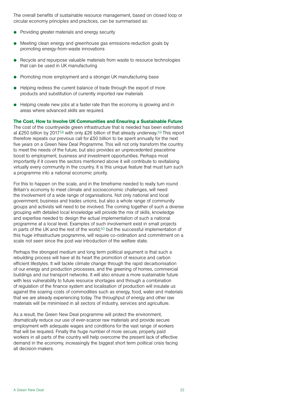The overall benefits of sustainable resource management, based on closed loop or circular economy principles and practices, can be summarised as:

- $\bullet$  Providing greater materials and energy security
- Meeting clean energy and greenhouse gas emissions-reduction goals by promoting energy-from-waste innovations
- Recycle and repurpose valuable materials from waste to resource technologies that can be used in UK manufacturing
- Promoting more employment and a stronger UK manufacturing base
- Helping redress the current balance of trade through the export of more products and substitution of currently imported raw materials
- $\bullet$  Helping create new jobs at a faster rate than the economy is growing and in areas where advanced skills are required.

The Cost, How to Involve UK Communities and Ensuring a Sustainable Future The cost of the countrywide green infrastructure that is needed has been estimated at £250 billion by 201758 with only £26 billion of that already underway.59 This report therefore repeats our previous call for £50 billion to be spent annually for the next five years on a Green New Deal Programme. This will not only transform the country to meet the needs of the future, but also provides an unprecedented peacetime boost to employment, business and investment opportunities. Perhaps most importantly if it covers the sectors mentioned above it will contribute to revitalising virtually every community in the country. It is this unique feature that must turn such a programme into a national economic priority.

For this to happen on the scale, and in the timeframe needed to really turn round Britain's economy to meet climate and socioeconomic challenges, will need the involvement of a wide range of organisations. Not only national and local government, business and trades unions, but also a whole range of community groups and activists will need to be involved. The coming together of such a diverse grouping with detailed local knowledge will provide the mix of skills, knowledge and expertise needed to design the actual implementation of such a national programme at a local level. Examples of such involvement exist in small projects in parts of the UK and the rest of the world, $60$  but the successful implementation of this huge infrastructure programme, will require co-ordination and commitment on a scale not seen since the post war introduction of the welfare state.

Perhaps the strongest medium and long term political argument is that such a rebuilding process will have at its heart the promotion of resource and carbon efficient lifestyles. It will tackle climate change through the rapid decarbonisation of our energy and production processes, and the greening of homes, commercial buildings and our transport networks. It will also ensure a more sustainable future with less vulnerability to future resource shortages and through a combination of regulation of the finance system and localisation of production will insulate us against the soaring costs of commodities such as energy, food, water and materials that we are already experiencing today. The throughput of energy and other raw materials will be minimised in all sectors of industry, services and agriculture.

As a result, the Green New Deal programme will protect the environment, dramatically reduce our use of ever-scarcer raw materials and provide secure employment with adequate wages and conditions for the vast range of workers that will be required. Finally the huge number of more secure, properly paid workers in all parts of the country will help overcome the present lack of effective demand in the economy, increasingly the biggest short term political crisis facing all decision-makers.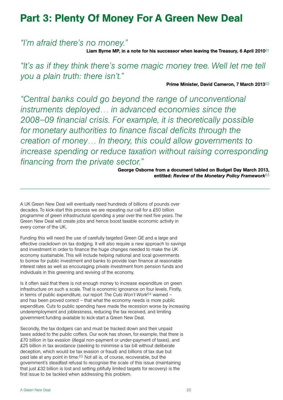## Part 3: Plenty Of Money For A Green New Deal

*"I'm afraid there's no money."* 

Liam Byrne MP, in a note for his successor when leaving the Treasury, 6 April 2010<sup>61</sup>

*"It's as if they think there's some magic money tree. Well let me tell you a plain truth: there isn't."*

Prime Minister, David Cameron, 7 March 201362

*"Central banks could go beyond the range of unconventional instruments deployed… in advanced economies since the 2008–09 financial crisis. For example, it is theoretically possible for monetary authorities to finance fiscal deficits through the creation of money… In theory, this could allow governments to increase spending or reduce taxation without raising corresponding financing from the private sector."* 

> George Osborne from a document tabled on Budget Day March 2013, entitled: *Review of the Monetary Policy Framework*63

A UK Green New Deal will eventually need hundreds of billions of pounds over decades. To kick-start this process we are repeating our call for a £50 billion programme of green infrastructural spending a year over the next five years. The Green New Deal will create jobs and hence boost taxable economic activity in every corner of the UK.

Funding this will need the use of carefully targeted Green QE and a large and effective crackdown on tax dodging. It will also require a new approach to savings and investment in order to finance the huge changes needed to make the UK economy sustainable. This will include helping national and local governments to borrow for public investment and banks to provide loan finance at reasonable interest rates as well as encouraging private investment from pension funds and individuals in this greening and reviving of the economy.

Is it often said that there is not enough money to increase expenditure on green infrastructure on such a scale. That is economic ignorance on four levels. Firstly, in terms of public expenditure, our report *The Cuts Won't Work*64 warned – and has been proved correct – that what the economy needs is more public expenditure. Cuts to public spending have made the recession worse by increasing underemployment and joblessness, reducing the tax received, and limiting government funding available to kick-start a Green New Deal.

Secondly, the tax dodgers can and must be tracked down and their unpaid taxes added to the public coffers. Our work has shown, for example, that there is £70 billion in tax evasion (illegal non-payment or under-payment of taxes), and £25 billion in tax avoidance (seeking to minimise a tax bill without deliberate deception, which would be tax evasion or fraud) and billions of tax due but paid late at any point in time.65 Not all is, of course, recoverable, but the government's steadfast refusal to recognise the scale of this issue (maintaining that just £32 billion is lost and setting pitifully limited targets for recovery) is the first issue to be tackled when addressing this problem.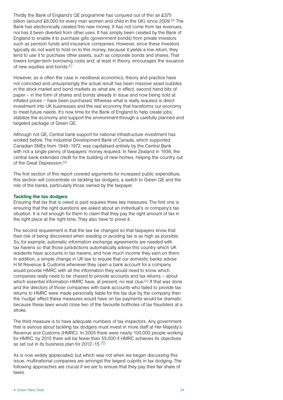Thirdly the Bank of England's QE programme has conjured out of thin air £375 billion (around £6,000 for every man women and child in the UK) since 2009.66 The Bank has electronically created this new money. It has not come from tax revenues, nor has it been diverted from other uses. It has simply been created by the Bank of England to enable it to purchase gilts (government bonds) from private investors such as pension funds and insurance companies. However, since these investors typically do not want to hold on to this money, because it yields a low return, they tend to use it to purchase other assets, such as corporate bonds and shares. That lowers longer-term borrowing costs and, at least in theory, encourages the issuance of new equities and bonds.67

However, as is often the case in neoliberal economics, theory and practice have not coincided and unsurprisingly the actual result has been massive asset bubbles in the stock market and bond markets as what are, in effect, second hand bits of paper – in the form of shares and bonds already in issue and now being sold at inflated prices – have been purchased. Whereas what is really required is direct investment into UK businesses and the real economy that transforms our economy to meet future needs. It's now time for the Bank of England to help create jobs, stabilize the economy and support the environment through a carefully planned and targeted package of Green QE.

Although not QE, Central bank support for national infrastructure investment has worked before. The Industrial Development Bank of Canada, which supported Canadian SMEs from 1946–1972, was capitalised entirely by the Central Bank with not a single penny of taxpayers' money required. In New Zealand in 1936, the central bank extended credit for the building of new homes, helping the country out of the Great Depression.68

The first section of this report covered arguments for increased public expenditure, this section will concentrate on tackling tax dodgers, a switch to Green QE and the role of the banks, particularly those owned by the taxpayer.

## Tackling the tax dodgers

Ensuring that tax that is owed is paid requires three key measures. The first one is ensuring that the right questions are asked about an individual's or company's tax situation. It is not enough for them to claim that they pay the right amount of tax in the right place at the right time. They also have to prove it.

The second requirement is that the law be changed so that taxpayers know that their risk of being discovered when evading or avoiding tax is as high as possible. So, for example, automatic information exchange agreements are needed with tax havens so that those jurisdictions automatically advise this country which UK residents have accounts in tax havens, and how much income they earn on them. In addition, a simple change in UK law to require that our domestic banks advise H M Revenue & Customs whenever they open a bank account for a company would provide HMRC with all the information they would need to know which companies really need to be chased to provide accounts and tax returns – about which essential information HMRC have, at present, no real clue.<sup>69</sup> If that was done and the directors of those companies with bank accounts who failed to provide tax returns to HMRC were made personally liable for the tax due by the company then the 'nudge' effect these measures would have on tax payments would be dramatic because these laws would close two of the favourite boltholes of tax fraudsters at a stroke.

The third measure is to have adequate numbers of tax inspectors. Any government that is serious about tackling tax dodgers must invest in more staff at Her Majesty's Revenue and Customs (HMRC). In 2005 there were nearly 100,000 people working for HMRC, by 2015 there will be fewer than 55,000 if HMRC achieves its objectives as set out in its [business plan](http://www.hmrc.gov.uk/about/business-plan-2012.pdf) for 2012–15.70

As is now widely appreciated, but which was not when we began discussing this issue, multinational companies are amongst the largest culprits in tax dodging. The following approaches are crucial if we are to ensure that they pay their fair share of taxes.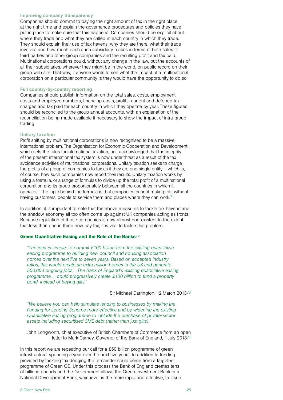#### Improving company transparency

Companies should commit to paying the right amount of tax in the right place at the right time and explain the governance procedures and policies they have put in place to make sure that this happens. Companies should be explicit about where they trade and what they are called in each country in which they trade. They should explain their use of tax havens, why they are there, what their trade involves and how much each such subsidiary makes in terms of both sales to third parties and other group companies and the resulting profit and tax paid. Multinational corporations could, without any change in the law, put the accounts of all their subsidiaries, wherever they might be in the world, on public record on their group web site. That way, if anyone wants to see what the impact of a multinational corporation on a particular community is they would have the opportunity to do so.

### Full country-by-country reporting

Companies should publish information on the total sales, costs, employment costs and employee numbers, financing costs, profits, current and deferred tax charges and tax paid for each country in which they operate by year. These figures should be reconciled to the group annual accounts, with an explanation of the reconciliation being made available if necessary to show the impact of intra-group trading

## Unitary taxation

Profit shifting by multinational corporations is now recognised to be a massive international problem. The Organisation for Economic Cooperation and Development, which sets the rules for international taxation, has acknowledged that the integrity of the present international tax system is now under threat as a result of the tax avoidance activities of multinational corporations. Unitary taxation seeks to charge the profits of a group of companies to tax as if they are one single entity – which is, of course, how such companies now report their results. Unitary taxation works by using a formula, or a range of formulas to divide up the total profit of a multinational corporation and its group proportionately between all the countries in which it operates. The logic behind the formula is that companies cannot make profit without having customers, people to service them and places where they can work.<sup>71</sup>

In addition, it is important to note that the above measures to tackle tax havens and the shadow economy all too often come up against UK companies acting as fronts. Because regulation of those companies is now almost non-existent to the extent that less than one in three now pay tax, it is vital to tackle this problem.

## Green Quantitative Easing and the Role of the Banks72

*"The idea is simple: to commit £100 billion from the existing quantitative easing programme to building new council and housing association homes over the next five to seven years. Based on accepted industry ratios, this would create an extra million homes in the UK and generate 500,000 ongoing jobs…The Bank of England's existing quantitative easing programme… could progressively create £100 billion to fund a property bond, instead of buying gilts."*

Sir Michael Darrington, 12 March 201373

*"We believe you can help stimulate lending to businesses by making the Funding for Lending Scheme more effective and by widening the existing Quantitative Easing programme to include the purchase of private-sector assets including securitised SME debt (rather than just gilts)."* 

John Longworth, chief executive of British Chambers of Commerce from an open letter to Mark Carney, Governor of the Bank of England, 1 July 201374

In this report we are repeating our call for a £50 billion programme of green infrastructural spending a year over the next five years. In addition to funding provided by tackling tax dodging the remainder could come from a targeted programme of Green QE. Under this process the Bank of England creates tens of billions pounds and the Government allows the Green Investment Bank or a National Development Bank, whichever is the more rapid and effective, to issue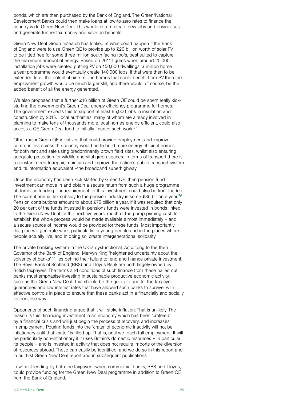bonds, which are then purchased by the Bank of England. The Green/National Development Banks could then make loans at low-to-zero rates to finance the country wide Green New Deal. This would in turn create new jobs and businesses and generate further tax money and save on benefits.

Green New Deal Group research has looked at what could happen if the Bank of England were to use Green QE to provide up to £20 billion worth of solar PV to be fitted free for some three million south facing roofs, best suited to capture the maximum amount of energy. Based on 2011 figures when around 20,000 installation jobs were created putting PV on 150,000 dwellings, a million home a year programme would eventually create 140,000 jobs. If that were then to be extended to all the potential nine million homes that could benefit from PV then the employment growth would be much larger still, and there would, of course, be the added benefit of all the energy generated.

We also proposed that a further £16 billion of Green QE could be spent really kickstarting the government's Green Deal energy efficiency programme for homes. The government expects this to support at least 65,000 jobs in insulation and construction by 2015. Local authorities, many of whom are already involved in planning to make tens of thousands more local homes energy efficient, could also access a QE Green Deal fund to initially finance such work.75

Other major Green QE initiatives that could provide employment and improve communities across the country would be to build more energy efficient homes for both rent and sale using predominantly brown field sites, whilst also ensuring adequate protection for wildlife and vital green spaces. In terms of transport there is a constant need to repair, maintain and improve the nation's public transport system and its information equivalent –the broadband superhighway.

Once the economy has been kick started by Green QE, then pension fund investment can move in and obtain a secure return from such a huge programme of domestic funding. The requirement for this investment could also be front-loaded. The current annual tax subsidy to the pension industry is some £35 billion a year.<sup>76</sup> Pension contributions amount to about £75 billion a year. If it was required that only 20 per cent of the funds invested in pensions funds were invested in bonds linked to the Green New Deal for the next five years, much of the pump priming cash to establish the whole process would be made available almost immediately – and a secure source of income would be provided for these funds. Most importantly this plan will generate work, particularly for young people and in the places where people actually live, and in doing so, create intergenerational solidarity.

The private banking system in the UK is dysfunctional. According to the then Governor of the Bank of England, Mervyn King 'heightened uncertainty about the solvency of banks'77 lies behind their failure to lend and finance private investment. The Royal Bank of Scotland (RBS) and Lloyds Bank are both largely owned by British taxpayers. The terms and conditions of such finance from these bailed out banks must emphasise investing in sustainable productive economic activity, such as the Green New Deal. This should be the quid pro quo for the taxpayer guarantees and low interest rates that have allowed such banks to survive, with effective controls in place to ensure that these banks act in a financially and socially responsible way.

Opponents of such financing argue that it will stoke inflation. That is unlikely. The reason is this: financing investment in an economy which has been 'cratered' by a financial crisis and will just begin the process of recovery, and increases in employment. Pouring funds into the 'crater' of economic inactivity will not be inflationary until that 'crater' is filled up. That is, until we reach full employment. It will be particularly non-inflationary if it uses Britain's domestic resources – in particular its people – and is invested in activity that does not require imports or the diversion of resources abroad. These can easily be identified, and we do so in this report and in our first Green New Deal report and in subsequent publications.

Low-cost lending by both the taxpayer-owned commercial banks, RBS and Lloyds, could provide funding for the Green New Deal programme in addition to Green QE from the Bank of England.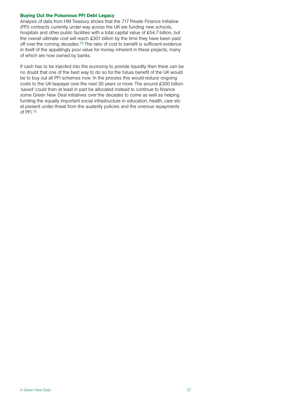## Buying Out the Poisonous PFI Debt Legacy

Analysis of data from HM Treasury shows that the 717 Private Finance Initiative (PFI) contracts currently under way across the UK are funding new schools, hospitals and other public facilities with a total capital value of £54.7 billion, but the overall ultimate cost will reach £301 billion by the time they have been paid off over the coming decades.78 The ratio of cost to benefit is sufficient evidence in itself of the appallingly poor value for money inherent in these projects, many of which are now owned by banks.

If cash has to be injected into the economy to provide liquidity then there can be no doubt that one of the best way to do so for the future benefit of the UK would be to buy out all PFI schemes now. In the process this would reduce ongoing costs to the UK taxpayer over the next 30 years or more. The around £300 billion 'saved' could then at least in part be allocated instead to continue to finance some Green New Deal initiatives over the decades to come as well as helping funding the equally important social infrastructure in education, health, care etc at present under threat from the austerity policies and the onerous repayments of PFI.79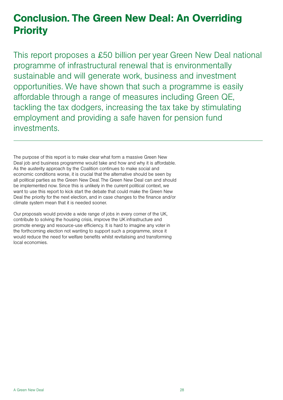## Conclusion. The Green New Deal: An Overriding **Priority**

This report proposes a £50 billion per year Green New Deal national programme of infrastructural renewal that is environmentally sustainable and will generate work, business and investment opportunities. We have shown that such a programme is easily affordable through a range of measures including Green QE, tackling the tax dodgers, increasing the tax take by stimulating employment and providing a safe haven for pension fund investments.

The purpose of this report is to make clear what form a massive Green New Deal job and business programme would take and how and why it is affordable. As the austerity approach by the Coalition continues to make social and economic conditions worse, it is crucial that the alternative should be seen by all political parties as the Green New Deal. The Green New Deal can and should be implemented now. Since this is unlikely in the current political context, we want to use this report to kick start the debate that could make the Green New Deal the priority for the next election, and in case changes to the finance and/or climate system mean that it is needed sooner.

Our proposals would provide a wide range of jobs in every corner of the UK, contribute to solving the housing crisis, improve the UK infrastructure and promote energy and resource-use efficiency. It is hard to imagine any voter in the forthcoming election not wanting to support such a programme, since it would reduce the need for welfare benefits whilst revitalising and transforming local economies.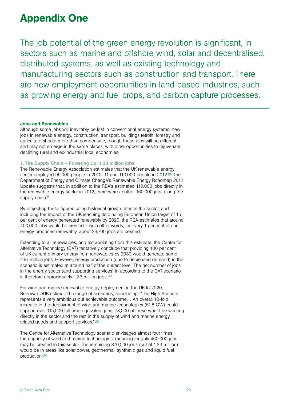## Appendix One

The job potential of the green energy revolution is significant, in sectors such as marine and offshore wind, solar and decentralised, distributed systems, as well as existing technology and manufacturing sectors such as construction and transport. There are new employment opportunities in land based industries, such as growing energy and fuel crops, and carbon capture processes.

### Jobs and Renewables

Although some jobs will inevitably be lost in conventional energy systems, new jobs in renewable energy, construction, transport, buildings retrofit, forestry and agriculture should more than compensate, though these jobs will be different and may not emerge in the same places, with other opportunities to rejuvenate declining rural and ex-industrial local economies.

## 1. The Supply Chain – Powering Up: 1.33 million jobs

The Renewable Energy Association estimates that the UK renewable energy sector employed 99,000 people in 2010–11 and 110,000 people in 2012.80 The Department of Energy and Climate Change's Renewable Energy Roadmap 2012 Update suggests that, in addition to the REA's estimated 110,000 jobs directly in the renewable energy sector in 2012, there were another 160,000 jobs along the supply chain.<sup>81</sup>

By projecting these figures using historical growth rates in the sector, and including the impact of the UK reaching its binding European Union target of 15 per cent of energy generated renewably by 2020, the REA estimates that around 400,000 jobs would be created – or in other words, for every 1 per cent of our energy produced renewably, about 26,700 jobs are created.

Extending to all renewables, and extrapolating from this estimate, the Centre for Alternative Technology (CAT) tentatively conclude that providing 100 per cent of UK current primary energy from renewables by 2030 would generate some 2.67 million jobs. However, energy production (due to decreased demand) in the scenario is estimated at around half of the current level. The net number of jobs in the energy sector (and supporting services) in according to the CAT scenario is therefore approximately 1.33 million jobs.82

For wind and marine renewable energy deployment in the UK to 2020, RenewableUK estimated a range of scenarios, concluding: "The High Scenario represents a very ambitious but achievable outcome… An overall 10-fold increase in the deployment of wind and marine technologies (51.8 GW) could support over 115,000 full time equivalent jobs, 73,000 of these would be working directly in the sector and the rest in the supply of wind and marine energy related goods and support services."83

The Centre for Alternative Technology scenario envisages almost four times the capacity of wind and marine technologies, meaning roughly 460,000 jobs may be created in this sector. The remaining 870,000 jobs (out of 1.33 million) would be in areas like solar power, geothermal, synthetic gas and liquid fuel production.84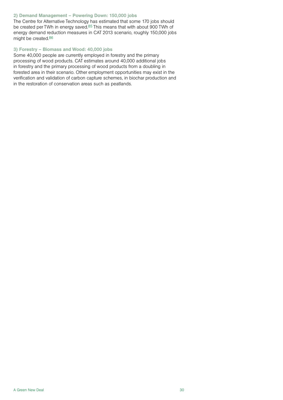## 2) Demand Management – Powering Down: 150,000 jobs

The Centre for Alternative Technology has estimated that some 170 jobs should be created per TWh in energy saved.85 This means that with about 900 TWh of energy demand reduction measures in CAT 2013 scenario, roughly 150,000 jobs might be created.86

## 3) Forestry – Biomass and Wood: 40,000 jobs

Some 40,000 people are currently employed in forestry and the primary processing of wood products. CAT estimates around 40,000 additional jobs in forestry and the primary processing of wood products from a doubling in forested area in their scenario. Other employment opportunities may exist in the verification and validation of carbon capture schemes, in biochar production and in the restoration of conservation areas such as peatlands.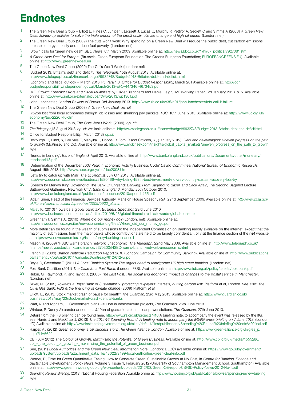## **Endnotes**

- 1 The Green New Deal Group Elliott L, Hines C, Juniper T, Leggett J, Lucas C, Murphy R, Pettifor A, Secrett C and Simms A (2008*) A Green New Deal: Joined-up policies to solve the triple crunch of the credit crisis, climate change and high oil prices.* (London: nef).
- <sup>2</sup> The Green New Deal Group (2009) The cuts won't work: Why spending on a Green New Deal will reduce the public debt, cut carbon emissions, increase energy security and reduce fuel poverty. (London: nef).
- 3 'Brown calls for 'green new deal'', *BBC News*, 6th March 2009. Available online at: [http://news.bbc.co.uk/1/hi/uk\\_politics/7927381.stm](http://news.bbc.co.uk/1/hi/uk_politics/7927381.stm)
- 4 *A Green New Deal for Europe*: (Brussels: Green European Foundation; The Greens European Foundation;<EUROPEANGREENS.EU>). Available online at:<http://www.greennewdeal.eu>
- 5 The Green New Deal Group (2009) The Cut's Won't Work (London: nef)
- 6 'Budget 2013: Britain's debt and deficit', *The Telegraph,* 15th August 2013. Available online at:
- <http://www.telegraph.co.uk/finance/budget/9932748/Budget-2013-Britains-debt-and-deficit.html> 7 'Economic and fiscal outlook – March 2013' P5 Para 1.3, *Office for Budget Responsibility,* March 201 Available online at: [http://cdn.](http://cdn.budgetresponsibility.independent.gov.uk/March-2013-EFO-44734674673453.pdf) [budgetresponsibility.independent.gov.uk/March-2013-EFO-44734674673453.pdf](http://cdn.budgetresponsibility.independent.gov.uk/March-2013-EFO-44734674673453.pdf)
- 8 IMF: *Growth Forecast Errors and Fiscal Multipliers* by Olivier Blanchard and Daniel Leigh, IMF Working Paper, 3rd January 2013. p. 5. Available online at:<http://www.imf.org/external/pubs/ft/wp/2013/wp1301.pdf>
- 9 John Lanchester, *London Review of Books.* 3rd January 2013. <http://www.lrb.co.uk/v35/n01/john-lanchester/lets-call-it-failure>
- 10 The Green New Deal Group (2008) *A Green New Deal*, *op. cit.*
- 11 '£52bn lost from local economies through job losses and shrinking pay packets' *TUC*, 10th June, 2013. Available online at: [http://www.tuc.org.uk/](http://www.tuc.org.uk/economy/tuc-22267-f0.cfm) [economy/tuc-22267-f0.cfm](http://www.tuc.org.uk/economy/tuc-22267-f0.cfm)
- 12 The Green New Deal Group, *The Cuts Won't Work*, (2009), *op. cit*
- 13 *The Telegraph*,15 August 2013, *op. cit*, Available online at: <http://www.telegraph.co.uk/finance/budget/9932748/Budget-2013-Britains-debt-and-deficit.html>
- 14 Office for Budget Responsibility, (March 2013)<op.cit><br>15 Doyburgh C Lund S Daruvala T Manyika J Dobbs
- 15 Roxburgh, C, Lund, S, Daruvala, T, Manyika, J, Dobbs, R, Forn, R and Croxson, K., (January 2012), *Debt and deleveraging: Uneven progress on the path to growth* (McKinsey and Co). Available online at: [http://www.mckinsey.com/insights/global\\_capital\\_markets/uneven\\_progress\\_on\\_the\\_path\\_to\\_growth](http://www.mckinsey.com/insights/global_capital_markets/uneven_progress_on_the_path_to_growth)
- 16 *Ibid.*
- 17 'Trends in Lending', *Bank of England,* April 2013. Available online at: [http://www.bankofengland.co.uk/publications/Documents/other/monetary/](http://www.bankofengland.co.uk/publications/Documents/other/monetary/trendsapril13.pdf) [trendsapril13.pdf](http://www.bankofengland.co.uk/publications/Documents/other/monetary/trendsapril13.pdf)
- 18 'Determination of the December 2007 Peak in Economic Activity Business Cycle' *Dating Committee, National Bureau of Economic Research,* August 15th 2013. <http://www.nber.org/cycles/dec2008.html>
- 19 'Let's try to catch up with Mali', *The Economist,* July 6th 2013. Available online at: <http://www.economist.com/news/leaders/21580466-why-being-159th-best-investment-no-way-country-sustain-recovery-lets-try>
- 20 'Speech by Mervyn King Governor of The Bank Of England: *Banking: From Bagehot to Basel, and Back Again*, The Second Bagehot Lecture Buttonwood Gathering, New York City', *Bank of England,* Monday 25th October 2010. <http://www.bankofengland.co.uk/publications/speeches/2010/speech455.pdf>
- 21 'Adair Turner, Head of the Financial Services Authority, Mansion House Speech', *FSA*, 22nd September 2009. Available online at: *[http://www.fsa.gov.](http://www.fsa.gov.uk/library/communication/speeches/2009/0922_at.shtml) [uk/library/communication/speeches/2009/0922\\_at.shtml](http://www.fsa.gov.uk/library/communication/speeches/2009/0922_at.shtml)*
- 22 [Maley](http://www.businessspectator.com.au/contributor/karen-maley) K, (2010) 'Towards a global bank tax', *Business Spectator,* 23rd June 2010 <http://www.businessspectator.com.au/article/2010/6/23/global-financial-crisis/towards-global-bank-tax>
- 23 Greenham T, Simms A, (2010) *Where did our money go?* (London: nef). Available online at: [http://neweconomics.org/sites/neweconomics.org/files/Where\\_did\\_our\\_money\\_go.pdf](http://neweconomics.org/sites/neweconomics.org/files/Where_did_our_money_go.pdf)
- 24 More detail can be found in the wealth of submissions to the Independent Commission on Banking readily available on the internet (except that the majority of submissions from the major banks whose contributions are held to be largely confidential), or visit the finance section of the nef website at: [http://www.neweconomics.org/issues/entry/banking-](http://www.neweconomics.org/issues/entry/banking)finance1
- 25 Mason R, (2009) 'HSBC warns branch network 'uneconomic' *The Telegraph,* 22nd May 2009. Available online at: [http://www.telegraph.co.uk/](http://www.telegraph.co.uk/finance/newsbysector/banksandfinance/5370300/HSBC-warns-branch-network-uneconomic.html) [finance/newsbysector/banksandfinance/5370300/HSBC-warns-branch-network-uneconomic.html](http://www.telegraph.co.uk/finance/newsbysector/banksandfinance/5370300/HSBC-warns-branch-network-uneconomic.html)
- 26 French D (2009) *Branch Network Reduction Report 2010* (London: Campaign for Community Banking). Available online at: [http://www.publications.](http://www.publications.parliament.uk/pa/cm201011/cmselect/cmtreasy/612/612vw.pdf) [parliament.uk/pa/cm201011/cmselect/cmtreasy/612/612vw.pdf](http://www.publications.parliament.uk/pa/cm201011/cmselect/cmtreasy/612/612vw.pdf)
- 27 Boyle D, Greenham T, (2011*) A Local Banking System: The urgent need to reinvigorate UK high street banking,* (London: nef).
- 28 Post Bank Coalition (2011) *The Case for a Post Bank*, (London: FSB). Available online at: <http://www.fsb.org.uk/policy/assets/postbank.pdf>
- 29 Rubin, G., Raymond, P., and Taylor, J. (2006) *The Last Post: The social and economic impact of changes to the postal service in Manchester*, (London: nef)

30 Silver, N., (2009) *Towards a Royal Bank of Sustainability: protecting taxpayers' interests; cutting carbon risk.* Platform et al, London. See also: *The Oil & Gas Bank: RBS & the financing of climate change* (2009) Platform *et al.*

- 31 Elliott, L., (2013) Stock market crash or pause for breath? *The Guardian*, 23rd May 2013. Available online at: [http://www.guardian.co.uk/](http://www.guardian.co.uk/business/2013/may/23/stock-market-crash-central-banks) [business/2013/may/23/stock-market-crash-central-banks](http://www.guardian.co.uk/business/2013/may/23/stock-market-crash-central-banks)
- 32 Watt, N and Topham, G, Government plans £100bn in infrastructure projects, *The Guardian*, 26th June 2013.
- 33 Wintour, P, Danny Alexander announces £10bn of guarantees for nuclear power stations, *The Guardian*, 27th June 2013.
- 34 Details from the IFS briefing can be found here:<http://www.ifs.org.uk/projects/418>A briefing note, to accompany the event was released by the IfG, see: Harris, J and MacCrae, J, (2013) *The 2015-16 Spending Round: A briefing note to accompany the IFS/IfG press briefing on 7 June 2013*, (London: IfG) Available online at:<http://www.instituteforgovernment.org.uk/sites/default/files/publications/Spending>%20Round%20briefing%20note%<20final.pdf>
- 35 Harper, A., (2012) *Green economy: a UK success story, The Green Alliance, London.* Available online at: [http://www.green-alliance.org.uk/grea\\_p.](http://www.green-alliance.org.uk/grea_p.aspx?id=6629) [aspx?id=6629](http://www.green-alliance.org.uk/grea_p.aspx?id=6629)
- 36 CBI (July 2012) *The Colour of Growth: Maximising the Potential of Green Business*. Available online at: [http://www.cbi.org.uk/media/1555286/](http://www.cbi.org.uk/media/1555286/cbi_-_the_colour_of_growth_-_maximising_the_potential_of_green_business.pdf) [cbi\\_-\\_the\\_colour\\_of\\_growth\\_-\\_maximising\\_the\\_potential\\_of\\_green\\_business.pdf](http://www.cbi.org.uk/media/1555286/cbi_-_the_colour_of_growth_-_maximising_the_potential_of_green_business.pdf)
- 37 See, (2011) *Local Authorities and the Green New Deal: Information Note*, (London: DECC) available online at: [https://www.gov.uk/government/](https://www.gov.uk/government/uploads/system/uploads/attachment_data/file/43022/3499-local-authorities-green-deal-info.pdf) [uploads/system/uploads/attachment\\_data/file/43022/3499-local-authorities-green-deal-info.pdf](https://www.gov.uk/government/uploads/system/uploads/attachment_data/file/43022/3499-local-authorities-green-deal-info.pdf)
- 38 Werner, R., Time for Green Quantitative Easing: How to Generate Green, Sustainable Growth at No Cost, in *Centre for Banking, Finance and Sustainable Development, Policy News*, Volume 3, Issue 1, February 2012 (University of Southampton Management School: Southampton) Available online at:<http://www.greennewdealgroup.org/wp-content/uploads/2012/03/Green-QE-report-CBFSD-Policy-News-2012-No-1.pdf>
- 39 *Spending Review Briefing*, (2013) National Housing Federation. Available online at:<http://www.housing.org.uk/publications/browse/spending-review-briefing>

40 *Ibid.*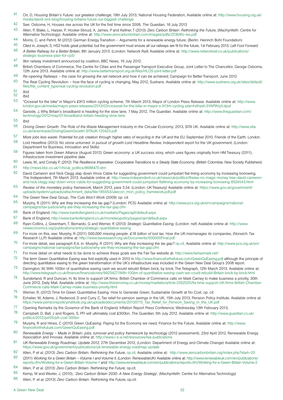- 41 Orr, D, *Housing Britain's Future: our greatest challenge*, 19th July 2013, National Housing Federation, Available online at: [http://www.housing.org.uk/](http://www.housing.org.uk/media/david-orrs-blog/housing-britains-future-our-biggest-challenge) [media/david-orrs-blog/housing-britains-future-our-biggest-challenge](http://www.housing.org.uk/media/david-orrs-blog/housing-britains-future-our-biggest-challenge)
- 42 See: Osborne, H, Houses rise across the UK for the first time since 2008, *The Guardian*, 16 July 2013
- 43 Allen, P, Blake, L, Harper, P, Hooker-Stroud, A, James, P and Kellner, T (2013) *Zero Carbon Britain: Rethinking the Future*, (Machynlleth: Centre for Alternative Technology): Available online at: <http://www.zerocarbonbritain.com/images/pdfs/ZCBrtflo-res.pdf>
- 44 Morris, C, and Pehnt, M (2012) German Energy Transition Arguments for a renewable energy future, (Berlin: Heinrich Bohl Foundation)
- 45 Cited in, Joseph, S, HS2 holds great potential, but the government must ensure all our railways are fit for the future, 1st February 2013, *Left Foot Forward*
- 46 *A Better Railway for a Better Britain*, 8th January 2013. (London: Network Rail) Available online at: [http://www.networkrail.co.uk/publications/](http://www.networkrail.co.uk/publications/strategic-business-plan-for-cp5/) [strategic-business-plan-for-cp5/](http://www.networkrail.co.uk/publications/strategic-business-plan-for-cp5/)
- 47 9bn railway investment announced by coalition, BBC News, 16 July 2012.
- 48 British Chambers of Commerce, The Centre for Cities and the Passenger Transport Executive Group, Joint Letter to The Chancellor, George Osborne, 12th June 2013. Available online at: <http://www.bettertransport.org.uk/files/HLOS-joint-letter.pdf>
- 49 *Re-opening Railways the case for growing the rail network and how it can be achieved*, Campaign for Better Transport, June 2012
- 50 The Real Cycling Revolution how the face of cycling is changing, May 2012, Sustrans. Available online at: [http://www.sustrans.org.uk/sites/default/](http://www.sustrans.org.uk/sites/default/files/file_content_type/real-cycling-revolution.pdf) [files/file\\_content\\_type/real-cycling-revolution.pdf](http://www.sustrans.org.uk/sites/default/files/file_content_type/real-cycling-revolution.pdf)
- 51 *Ibid.*
- 52 *Ibid.*
- 53 "Crossrail for the bike" in Mayor's £913 million cycling scheme, 7th March 2013, Mayor of London Press Release. Available online at: [http://www.](http://www.london.gov.uk/media/mayor-press-releases/2013/03/crossrail-for-the-bike-in-mayor-s-913m-cycling-plan#sthash.5YAP9VyV.dpuf) [london.gov.uk/media/mayor-press-releases/2013/03/crossrail-for-the-bike-in-mayor-s-913m-cycling-plan#sthash.5YAP9VyV.dpuf](http://www.london.gov.uk/media/mayor-press-releases/2013/03/crossrail-for-the-bike-in-mayor-s-913m-cycling-plan#sthash.5YAP9VyV.dpuf)
- 54 Garside, J, Why Britain's broadband is heading for the slow lane, 7 May 2012, *The Guardian*. Available online at: [http://www.theguardian.com/](http://www.theguardian.com/technology/2012/may/07/broadband-britain-heading-slow-lane) [technology/2012/may/07/broadband-britain-heading-slow-lane](http://www.theguardian.com/technology/2012/may/07/broadband-britain-heading-slow-lane)
- 55 *Ibid.*
- 56 *Driving Green Growth: The Role of the Waste Management Industry in the Circular Economy*, 2013, SITA UK. Available online at: [http://www.sita.](http://www.sita.co.uk/downloads/DrivingGreenGrowth-SITAUK-120423.pdf) [co.uk/downloads/DrivingGreenGrowth-SITAUK-120423.pdf](http://www.sita.co.uk/downloads/DrivingGreenGrowth-SITAUK-120423.pdf)
- 57 *More jobs less waste: Potential for job creation through higher rates of recycling in the UK and the EU,* September 2010, Friends of the Earth: London*.*
- 58 Lord Heseltine (2013) *No stone unturned: in pursuit of growth-Lord Heseltine Review,* Independent report for the UK government, (London: Department for Business, Innovation and Skills)
- 59 Figures taken from Green Alliance (August 2012) *Green economy: a UK success story,* which uses figures originally from HM Treasury (2011), *Infrastructure investment pipeline data.*
- 60 Lewis, M., and Conaty P, (2012) *The Resilience Imperative: Cooperative Transitions to a Steady State Economy*, (British Colombia: New Society Publishers)
- 61 [http://news.bbc.co.uk/1/hi/uk\\_politics/8688470.stm](http://news.bbc.co.uk/1/hi/uk_politics/8688470.stm)
- $62$  David Cameron and Nick Clegg slap down Vince Cable for suggesting government could jumpstart flat-lining economy by increasing borrowing, *The Independent*, 7th March 2013. Available online at: [http://www.independent.co.uk/news/uk/politics/theres-no-magic-money-tree-david-cameron](http://www.independent.co.uk/news/uk/politics/theres-no-magic-money-tree-david-cameron-and-nick-clegg-slap-down-vince-cable-for-suggesting-government-could-jumpstart-flatlining-economy-by-increasing-borrowing-8524543.html)[and-nick-clegg-slap-down-vince-cable-for-suggesting-government-could-jumpstart-flatlining-economy-by-increasing-borrowing-8524543.html](http://www.independent.co.uk/news/uk/politics/theres-no-magic-money-tree-david-cameron-and-nick-clegg-slap-down-vince-cable-for-suggesting-government-could-jumpstart-flatlining-economy-by-increasing-borrowing-8524543.html)
- 63 *Review of the monetary policy framework*, March 2013, para 3.34. (London: UK Treasury) Available online at: [https://www.gov.uk/government/](https://www.gov.uk/government/uploads/system/uploads/attachment_data/file/185553/ukecon_mon_policy_framework.pdf.pdf) [uploads/system/uploads/attachment\\_data/file/185553/ukecon\\_mon\\_policy\\_framework.pdf.pdf](https://www.gov.uk/government/uploads/system/uploads/attachment_data/file/185553/ukecon_mon_policy_framework.pdf.pdf)
- 64 The Green New Deal Group, *The Cuts Won't Work* (2009) *op. cit.*
- 65 Murphy, R (2011) *Why are they increasing the tax gap?* (London: PCS) Available online at: [http://www.pcs.org.uk/en/campaigns/national](http://www.pcs.org.uk/en/campaigns/national-campaigns/tax-justice/why-are-they-increasing-the-tax-gap.cfm)[campaigns/tax-justice/why-are-they-increasing-the-tax-gap.cfm](http://www.pcs.org.uk/en/campaigns/national-campaigns/tax-justice/why-are-they-increasing-the-tax-gap.cfm)
- 66 Bank of England,<http://www.bankofengland.co.uk/markets/Pages/apf/default.aspx>
- 67 Bank of England,<http://www.bankofengland.co.uk/monetarypolicy/pages/qe/default.aspx>
- 68 Ryan-Collins, J, Greenham, T, Bernardo, G and Werner, R (2013) *Strategic Quantitative Easing*, (London: nef) Available online at: [http://www.](http://www.neweconomics.org/publications/entry/strategic-quantitative-easing) [neweconomics.org/publications/entry/strategic-quantitative-easing](http://www.neweconomics.org/publications/entry/strategic-quantitative-easing)
- 69 For more on this, see: Murphy, R (2011) *500,000 missing people: £16 billion of lost tax. How the UK mismanages its companies*, (Norwich: Tax Research LLP) Available online at: <http://www.taxresearch.org.uk/Documents/500000Final.pdf>
- 70 For more detail, see paragraph 6.4, in: Murphy, R (2011) *Why are they increasing the tax gap?* <op.cit>. Available online at: [http://www.pcs.org.uk/en/](http://www.pcs.org.uk/en/campaigns/national-campaigns/tax-justice/why-are-they-increasing-the-tax-gap.cfm) [campaigns/national-campaigns/tax-justice/why-are-they-increasing-the-tax-gap.cfm](http://www.pcs.org.uk/en/campaigns/national-campaigns/tax-justice/why-are-they-increasing-the-tax-gap.cfm)
- 71 For more detail on what needs to be done to achieve these goals see the Fair Tax website at: <http://www.fairtaxmark.net/>
- 72 The term Green Quantitative Easing was first explicitly used in 2010 in<http://www.financeforthefuture.com/GreenQuEasing.pdf> although the principle of directing quantitative easing to the green transformation of the UK's infrastructure was included in the Green New Deal Group's 2008 report.
- 73 Darrington, M, With 100bn of quantitative easing cash we would rebuild Britain brick, by brick, The Telegraph, 12th March 2013. Available online at: <http://www.telegraph.co.uk/finance/financialcrisis/9923427/With-100bn-of-quantitative-easing-cash-we-could-rebuild-Britain-brick-by-brick.html>
- <sup>74</sup> Sunderland, R and Duncan, H, Its time to support UK firms: British Chamber of Commerce calls on Mark Carney to make business a priority, 30th June 2013, Daily Mail. Available online at: [http://www.thisismoney.co.uk/money/markets/article-2352025/Its-time-support-UK-firms-British-Chamber-](http://www.thisismoney.co.uk/money/markets/article-2352025/Its-time-support-UK-firms-British-Chamber-Commerce-calls-Mark-Carney-make-business-priority.html)[Commerce-calls-Mark-Carney-make-business-priority.html](http://www.thisismoney.co.uk/money/markets/article-2352025/Its-time-support-UK-firms-British-Chamber-Commerce-calls-Mark-Carney-make-business-priority.html)
- 75 Werner, R, (2012) Time for Green Quantitative Easing: How to Generate Green, Sustainable Growth at No Cost, *op. cit.*
- $76$  Echalier, M, Adams, J, Redwood, D and Curry C, Tax relief for pension savings in the UK, 15th July 2013, Pension Policy Institute. Available online at: [https://www.pensionspolicyinstitute.org.uk/uploadeddocuments/20130715\\_Tax\\_Relief\\_for\\_Pension\\_Saving\\_in\\_the\\_UK.pdf](https://www.pensionspolicyinstitute.org.uk/uploadeddocuments/20130715_Tax_Relief_for_Pension_Saving_in_the_UK.pdf)
- 77 Opening Remarks by the Governor of the Bank of England, Inflation Report Press Conference, Wednesday 13th February 2013,
- 78 Campbell, D, Ball, J and Rogers, S, PFI will ultimately cost £300bn, *The Guardian*, 5th July 2012. Available online at: [http://www.guardian.co.uk/](http://www.guardian.co.uk/politics/2012/jul/05/pfi-cost-300bn) [politics/2012/jul/05/pfi-cost-300bn](http://www.guardian.co.uk/politics/2012/jul/05/pfi-cost-300bn)
- 79 Murphy, R and Hines, C (2010) Green QuEasing: Paying for the Economy we need, Finance for the Future. Available online at: [http://www.](http://www.financeforthefuture.com/GreenQuEasing.pdf) [financeforthefuture.com/GreenQuEasing.pdf](http://www.financeforthefuture.com/GreenQuEasing.pdf)
- 80 *Renewable Energy Made in Britain: jobs, turnover and policy framework by technology* (2012 assessment), 23rd April 2012, Renewable Energy Association and Innovas. Available online at: <http://www.r-e-a.net/resources/rea-publications>
- 81 *UK Renewable Energy Roadmap: Update 2012*, 27th December 2012, (London: Department of Energy and Climate Change) Available online at: <https://www.gov.uk/government/publications/uk-renewable-energy-roadmap-update>
- 82 Allen, P *[et al](et.al)*, (2013) *Zero Carbon Britain: Rethinking the Future*, [op.cit.](op.cit) Available online at: <http://www.zerocarbonbritain.org/index.php?start=20>
- 83 (2011) Working for a Green Britain Volume I and Volume II, (London: RenewableUK) Available online at: [http://www.renewableuk.com/en/publications/](http://www.renewableuk.com/en/publications/reports.cfm/Working-for-a-Green-Britain-Volume-1) [reports.cfm/Working-for-a-Green-Britain-Volume-1](http://www.renewableuk.com/en/publications/reports.cfm/Working-for-a-Green-Britain-Volume-1) *and*: <http://www.renewableuk.com/en/publications/reports.cfm/Working-for-a-Green-Britain-Volume-2>
- 84 Allen, P *[et al](et.al)*, (2013) *Zero Carbon Britain: Rethinking the Future*, [op.cit.](op.cit)<br>85 Kamp M and Wayler J. (2010) 'Zero Carbon Britain 2030: A New Ene
- 85 Kemp, M and Wexler, J, (2010), *'Zero Carbon Britain 2030: A New Energy Strategy*', (Machynlleth: Centre for Alternative Technology)
- 86 Allen, P. *[et al](et.al)*, (2013) *Zero Carbon Britain: Rethinking the Future*, [op.cit.](op.cit)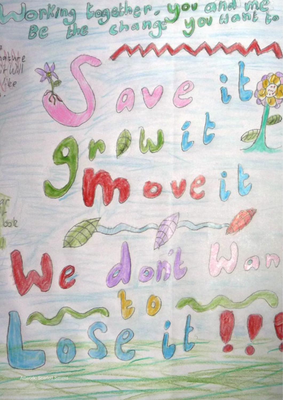